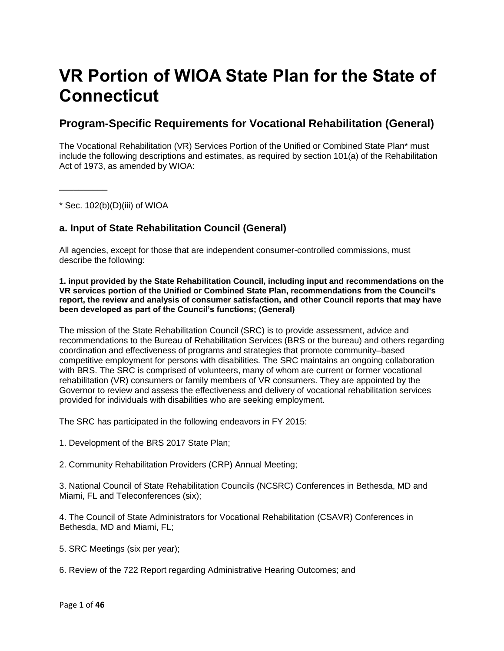# **VR Portion of WIOA State Plan for the State of Connecticut**

## **Program-Specific Requirements for Vocational Rehabilitation (General)**

The Vocational Rehabilitation (VR) Services Portion of the Unified or Combined State Plan\* must include the following descriptions and estimates, as required by section 101(a) of the Rehabilitation Act of 1973, as amended by WIOA:

 $*$  Sec. 102(b)(D)(iii) of WIOA

\_\_\_\_\_\_\_\_\_\_

## **a. Input of State Rehabilitation Council (General)**

All agencies, except for those that are independent consumer-controlled commissions, must describe the following:

**1. input provided by the State Rehabilitation Council, including input and recommendations on the VR services portion of the Unified or Combined State Plan, recommendations from the Council's report, the review and analysis of consumer satisfaction, and other Council reports that may have been developed as part of the Council's functions; (General)**

The mission of the State Rehabilitation Council (SRC) is to provide assessment, advice and recommendations to the Bureau of Rehabilitation Services (BRS or the bureau) and others regarding coordination and effectiveness of programs and strategies that promote community–based competitive employment for persons with disabilities. The SRC maintains an ongoing collaboration with BRS. The SRC is comprised of volunteers, many of whom are current or former vocational rehabilitation (VR) consumers or family members of VR consumers. They are appointed by the Governor to review and assess the effectiveness and delivery of vocational rehabilitation services provided for individuals with disabilities who are seeking employment.

The SRC has participated in the following endeavors in FY 2015:

- 1. Development of the BRS 2017 State Plan;
- 2. Community Rehabilitation Providers (CRP) Annual Meeting;

3. National Council of State Rehabilitation Councils (NCSRC) Conferences in Bethesda, MD and Miami, FL and Teleconferences (six);

4. The Council of State Administrators for Vocational Rehabilitation (CSAVR) Conferences in Bethesda, MD and Miami, FL;

- 5. SRC Meetings (six per year);
- 6. Review of the 722 Report regarding Administrative Hearing Outcomes; and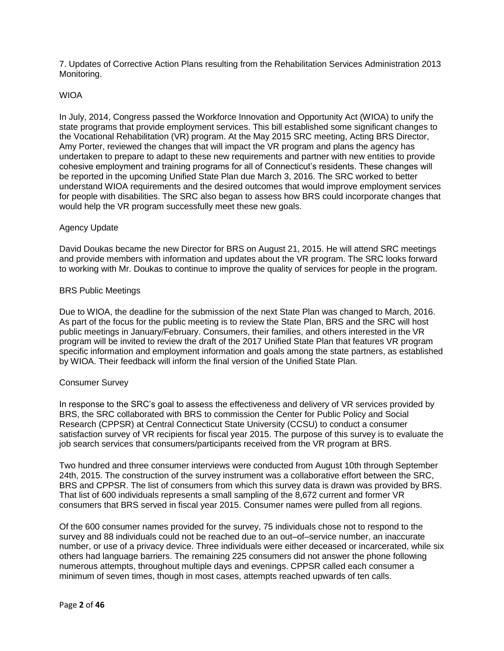7. Updates of Corrective Action Plans resulting from the Rehabilitation Services Administration 2013 Monitoring.

## WIOA

In July, 2014, Congress passed the Workforce Innovation and Opportunity Act (WIOA) to unify the state programs that provide employment services. This bill established some significant changes to the Vocational Rehabilitation (VR) program. At the May 2015 SRC meeting, Acting BRS Director, Amy Porter, reviewed the changes that will impact the VR program and plans the agency has undertaken to prepare to adapt to these new requirements and partner with new entities to provide cohesive employment and training programs for all of Connecticut's residents. These changes will be reported in the upcoming Unified State Plan due March 3, 2016. The SRC worked to better understand WIOA requirements and the desired outcomes that would improve employment services for people with disabilities. The SRC also began to assess how BRS could incorporate changes that would help the VR program successfully meet these new goals.

#### Agency Update

David Doukas became the new Director for BRS on August 21, 2015. He will attend SRC meetings and provide members with information and updates about the VR program. The SRC looks forward to working with Mr. Doukas to continue to improve the quality of services for people in the program.

#### BRS Public Meetings

Due to WIOA, the deadline for the submission of the next State Plan was changed to March, 2016. As part of the focus for the public meeting is to review the State Plan, BRS and the SRC will host public meetings in January/February. Consumers, their families, and others interested in the VR program will be invited to review the draft of the 2017 Unified State Plan that features VR program specific information and employment information and goals among the state partners, as established by WIOA. Their feedback will inform the final version of the Unified State Plan.

#### Consumer Survey

In response to the SRC's goal to assess the effectiveness and delivery of VR services provided by BRS, the SRC collaborated with BRS to commission the Center for Public Policy and Social Research (CPPSR) at Central Connecticut State University (CCSU) to conduct a consumer satisfaction survey of VR recipients for fiscal year 2015. The purpose of this survey is to evaluate the job search services that consumers/participants received from the VR program at BRS.

Two hundred and three consumer interviews were conducted from August 10th through September 24th, 2015. The construction of the survey instrument was a collaborative effort between the SRC, BRS and CPPSR. The list of consumers from which this survey data is drawn was provided by BRS. That list of 600 individuals represents a small sampling of the 8,672 current and former VR consumers that BRS served in fiscal year 2015. Consumer names were pulled from all regions.

Of the 600 consumer names provided for the survey, 75 individuals chose not to respond to the survey and 88 individuals could not be reached due to an out–of–service number, an inaccurate number, or use of a privacy device. Three individuals were either deceased or incarcerated, while six others had language barriers. The remaining 225 consumers did not answer the phone following numerous attempts, throughout multiple days and evenings. CPPSR called each consumer a minimum of seven times, though in most cases, attempts reached upwards of ten calls.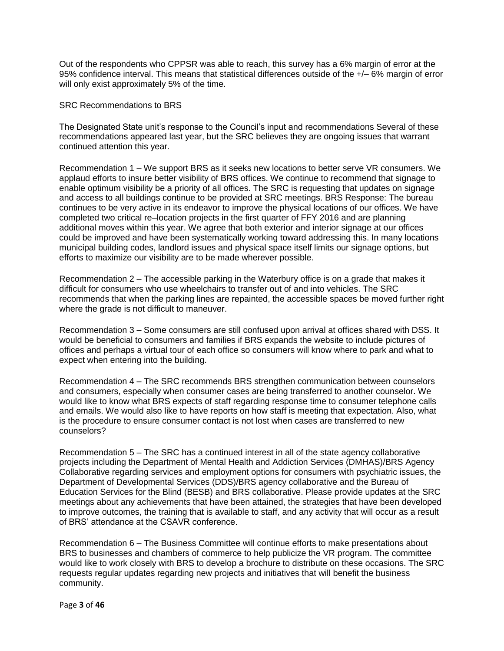Out of the respondents who CPPSR was able to reach, this survey has a 6% margin of error at the 95% confidence interval. This means that statistical differences outside of the +/– 6% margin of error will only exist approximately 5% of the time.

SRC Recommendations to BRS

The Designated State unit's response to the Council's input and recommendations Several of these recommendations appeared last year, but the SRC believes they are ongoing issues that warrant continued attention this year.

Recommendation 1 – We support BRS as it seeks new locations to better serve VR consumers. We applaud efforts to insure better visibility of BRS offices. We continue to recommend that signage to enable optimum visibility be a priority of all offices. The SRC is requesting that updates on signage and access to all buildings continue to be provided at SRC meetings. BRS Response: The bureau continues to be very active in its endeavor to improve the physical locations of our offices. We have completed two critical re–location projects in the first quarter of FFY 2016 and are planning additional moves within this year. We agree that both exterior and interior signage at our offices could be improved and have been systematically working toward addressing this. In many locations municipal building codes, landlord issues and physical space itself limits our signage options, but efforts to maximize our visibility are to be made wherever possible.

Recommendation 2 – The accessible parking in the Waterbury office is on a grade that makes it difficult for consumers who use wheelchairs to transfer out of and into vehicles. The SRC recommends that when the parking lines are repainted, the accessible spaces be moved further right where the grade is not difficult to maneuver.

Recommendation 3 – Some consumers are still confused upon arrival at offices shared with DSS. It would be beneficial to consumers and families if BRS expands the website to include pictures of offices and perhaps a virtual tour of each office so consumers will know where to park and what to expect when entering into the building.

Recommendation 4 – The SRC recommends BRS strengthen communication between counselors and consumers, especially when consumer cases are being transferred to another counselor. We would like to know what BRS expects of staff regarding response time to consumer telephone calls and emails. We would also like to have reports on how staff is meeting that expectation. Also, what is the procedure to ensure consumer contact is not lost when cases are transferred to new counselors?

Recommendation 5 – The SRC has a continued interest in all of the state agency collaborative projects including the Department of Mental Health and Addiction Services (DMHAS)/BRS Agency Collaborative regarding services and employment options for consumers with psychiatric issues, the Department of Developmental Services (DDS)/BRS agency collaborative and the Bureau of Education Services for the Blind (BESB) and BRS collaborative. Please provide updates at the SRC meetings about any achievements that have been attained, the strategies that have been developed to improve outcomes, the training that is available to staff, and any activity that will occur as a result of BRS' attendance at the CSAVR conference.

Recommendation 6 – The Business Committee will continue efforts to make presentations about BRS to businesses and chambers of commerce to help publicize the VR program. The committee would like to work closely with BRS to develop a brochure to distribute on these occasions. The SRC requests regular updates regarding new projects and initiatives that will benefit the business community.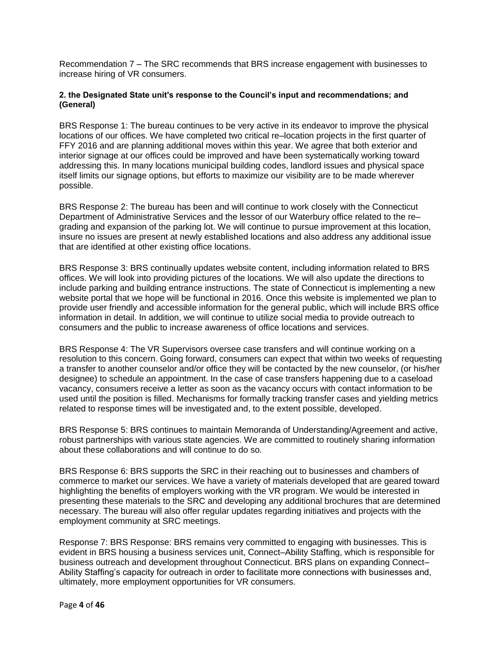Recommendation 7 – The SRC recommends that BRS increase engagement with businesses to increase hiring of VR consumers.

## **2. the Designated State unit's response to the Council's input and recommendations; and (General)**

BRS Response 1: The bureau continues to be very active in its endeavor to improve the physical locations of our offices. We have completed two critical re–location projects in the first quarter of FFY 2016 and are planning additional moves within this year. We agree that both exterior and interior signage at our offices could be improved and have been systematically working toward addressing this. In many locations municipal building codes, landlord issues and physical space itself limits our signage options, but efforts to maximize our visibility are to be made wherever possible.

BRS Response 2: The bureau has been and will continue to work closely with the Connecticut Department of Administrative Services and the lessor of our Waterbury office related to the re– grading and expansion of the parking lot. We will continue to pursue improvement at this location, insure no issues are present at newly established locations and also address any additional issue that are identified at other existing office locations.

BRS Response 3: BRS continually updates website content, including information related to BRS offices. We will look into providing pictures of the locations. We will also update the directions to include parking and building entrance instructions. The state of Connecticut is implementing a new website portal that we hope will be functional in 2016. Once this website is implemented we plan to provide user friendly and accessible information for the general public, which will include BRS office information in detail. In addition, we will continue to utilize social media to provide outreach to consumers and the public to increase awareness of office locations and services.

BRS Response 4: The VR Supervisors oversee case transfers and will continue working on a resolution to this concern. Going forward, consumers can expect that within two weeks of requesting a transfer to another counselor and/or office they will be contacted by the new counselor, (or his/her designee) to schedule an appointment. In the case of case transfers happening due to a caseload vacancy, consumers receive a letter as soon as the vacancy occurs with contact information to be used until the position is filled. Mechanisms for formally tracking transfer cases and yielding metrics related to response times will be investigated and, to the extent possible, developed.

BRS Response 5: BRS continues to maintain Memoranda of Understanding/Agreement and active, robust partnerships with various state agencies. We are committed to routinely sharing information about these collaborations and will continue to do so.

BRS Response 6: BRS supports the SRC in their reaching out to businesses and chambers of commerce to market our services. We have a variety of materials developed that are geared toward highlighting the benefits of employers working with the VR program. We would be interested in presenting these materials to the SRC and developing any additional brochures that are determined necessary. The bureau will also offer regular updates regarding initiatives and projects with the employment community at SRC meetings.

Response 7: BRS Response: BRS remains very committed to engaging with businesses. This is evident in BRS housing a business services unit, Connect–Ability Staffing, which is responsible for business outreach and development throughout Connecticut. BRS plans on expanding Connect– Ability Staffing's capacity for outreach in order to facilitate more connections with businesses and, ultimately, more employment opportunities for VR consumers.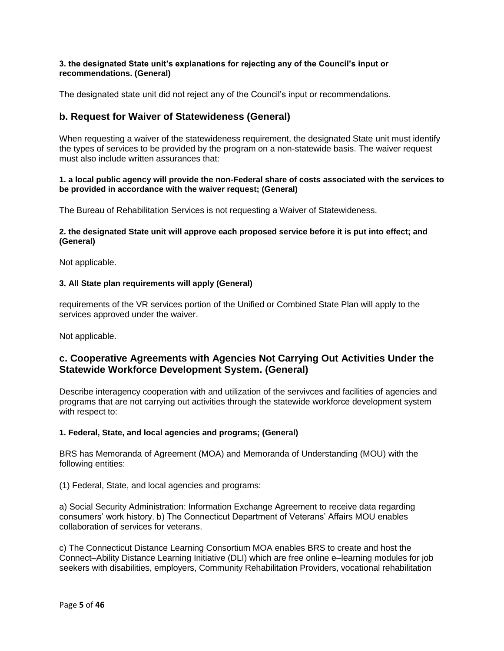## **3. the designated State unit's explanations for rejecting any of the Council's input or recommendations. (General)**

The designated state unit did not reject any of the Council's input or recommendations.

## **b. Request for Waiver of Statewideness (General)**

When requesting a waiver of the statewideness requirement, the designated State unit must identify the types of services to be provided by the program on a non-statewide basis. The waiver request must also include written assurances that:

## **1. a local public agency will provide the non-Federal share of costs associated with the services to be provided in accordance with the waiver request; (General)**

The Bureau of Rehabilitation Services is not requesting a Waiver of Statewideness.

## **2. the designated State unit will approve each proposed service before it is put into effect; and (General)**

Not applicable.

## **3. All State plan requirements will apply (General)**

requirements of the VR services portion of the Unified or Combined State Plan will apply to the services approved under the waiver.

Not applicable.

## **c. Cooperative Agreements with Agencies Not Carrying Out Activities Under the Statewide Workforce Development System. (General)**

Describe interagency cooperation with and utilization of the servivces and facilities of agencies and programs that are not carrying out activities through the statewide workforce development system with respect to:

#### **1. Federal, State, and local agencies and programs; (General)**

BRS has Memoranda of Agreement (MOA) and Memoranda of Understanding (MOU) with the following entities:

(1) Federal, State, and local agencies and programs:

a) Social Security Administration: Information Exchange Agreement to receive data regarding consumers' work history. b) The Connecticut Department of Veterans' Affairs MOU enables collaboration of services for veterans.

c) The Connecticut Distance Learning Consortium MOA enables BRS to create and host the Connect–Ability Distance Learning Initiative (DLI) which are free online e–learning modules for job seekers with disabilities, employers, Community Rehabilitation Providers, vocational rehabilitation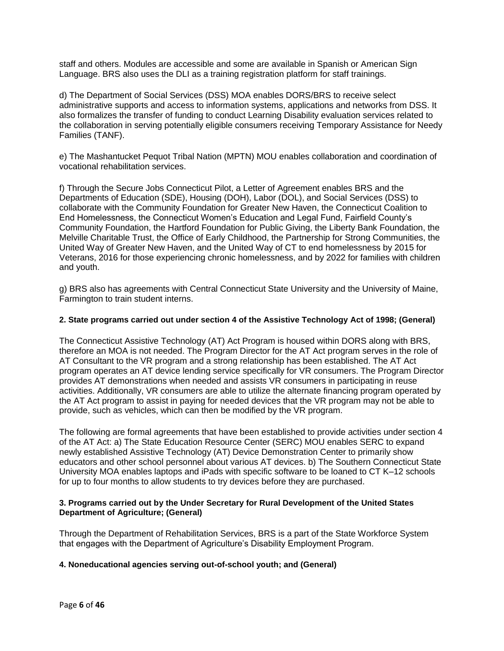staff and others. Modules are accessible and some are available in Spanish or American Sign Language. BRS also uses the DLI as a training registration platform for staff trainings.

d) The Department of Social Services (DSS) MOA enables DORS/BRS to receive select administrative supports and access to information systems, applications and networks from DSS. It also formalizes the transfer of funding to conduct Learning Disability evaluation services related to the collaboration in serving potentially eligible consumers receiving Temporary Assistance for Needy Families (TANF).

e) The Mashantucket Pequot Tribal Nation (MPTN) MOU enables collaboration and coordination of vocational rehabilitation services.

f) Through the Secure Jobs Connecticut Pilot, a Letter of Agreement enables BRS and the Departments of Education (SDE), Housing (DOH), Labor (DOL), and Social Services (DSS) to collaborate with the Community Foundation for Greater New Haven, the Connecticut Coalition to End Homelessness, the Connecticut Women's Education and Legal Fund, Fairfield County's Community Foundation, the Hartford Foundation for Public Giving, the Liberty Bank Foundation, the Melville Charitable Trust, the Office of Early Childhood, the Partnership for Strong Communities, the United Way of Greater New Haven, and the United Way of CT to end homelessness by 2015 for Veterans, 2016 for those experiencing chronic homelessness, and by 2022 for families with children and youth.

g) BRS also has agreements with Central Connecticut State University and the University of Maine, Farmington to train student interns.

## **2. State programs carried out under section 4 of the Assistive Technology Act of 1998; (General)**

The Connecticut Assistive Technology (AT) Act Program is housed within DORS along with BRS, therefore an MOA is not needed. The Program Director for the AT Act program serves in the role of AT Consultant to the VR program and a strong relationship has been established. The AT Act program operates an AT device lending service specifically for VR consumers. The Program Director provides AT demonstrations when needed and assists VR consumers in participating in reuse activities. Additionally, VR consumers are able to utilize the alternate financing program operated by the AT Act program to assist in paying for needed devices that the VR program may not be able to provide, such as vehicles, which can then be modified by the VR program.

The following are formal agreements that have been established to provide activities under section 4 of the AT Act: a) The State Education Resource Center (SERC) MOU enables SERC to expand newly established Assistive Technology (AT) Device Demonstration Center to primarily show educators and other school personnel about various AT devices. b) The Southern Connecticut State University MOA enables laptops and iPads with specific software to be loaned to CT K–12 schools for up to four months to allow students to try devices before they are purchased.

## **3. Programs carried out by the Under Secretary for Rural Development of the United States Department of Agriculture; (General)**

Through the Department of Rehabilitation Services, BRS is a part of the State Workforce System that engages with the Department of Agriculture's Disability Employment Program.

#### **4. Noneducational agencies serving out-of-school youth; and (General)**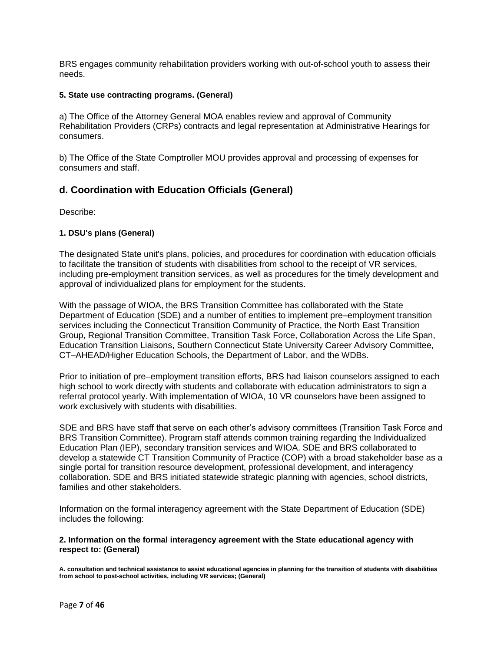BRS engages community rehabilitation providers working with out-of-school youth to assess their needs.

## **5. State use contracting programs. (General)**

a) The Office of the Attorney General MOA enables review and approval of Community Rehabilitation Providers (CRPs) contracts and legal representation at Administrative Hearings for consumers.

b) The Office of the State Comptroller MOU provides approval and processing of expenses for consumers and staff.

## **d. Coordination with Education Officials (General)**

Describe:

## **1. DSU's plans (General)**

The designated State unit's plans, policies, and procedures for coordination with education officials to facilitate the transition of students with disabilities from school to the receipt of VR services, including pre-employment transition services, as well as procedures for the timely development and approval of individualized plans for employment for the students.

With the passage of WIOA, the BRS Transition Committee has collaborated with the State Department of Education (SDE) and a number of entities to implement pre–employment transition services including the Connecticut Transition Community of Practice, the North East Transition Group, Regional Transition Committee, Transition Task Force, Collaboration Across the Life Span, Education Transition Liaisons, Southern Connecticut State University Career Advisory Committee, CT–AHEAD/Higher Education Schools, the Department of Labor, and the WDBs.

Prior to initiation of pre–employment transition efforts, BRS had liaison counselors assigned to each high school to work directly with students and collaborate with education administrators to sign a referral protocol yearly. With implementation of WIOA, 10 VR counselors have been assigned to work exclusively with students with disabilities.

SDE and BRS have staff that serve on each other's advisory committees (Transition Task Force and BRS Transition Committee). Program staff attends common training regarding the Individualized Education Plan (IEP), secondary transition services and WIOA. SDE and BRS collaborated to develop a statewide CT Transition Community of Practice (COP) with a broad stakeholder base as a single portal for transition resource development, professional development, and interagency collaboration. SDE and BRS initiated statewide strategic planning with agencies, school districts, families and other stakeholders.

Information on the formal interagency agreement with the State Department of Education (SDE) includes the following:

#### **2. Information on the formal interagency agreement with the State educational agency with respect to: (General)**

**A. consultation and technical assistance to assist educational agencies in planning for the transition of students with disabilities from school to post-school activities, including VR services; (General)**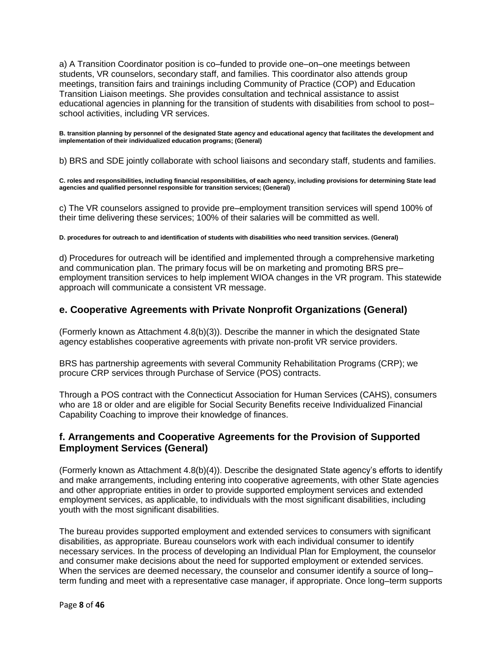a) A Transition Coordinator position is co–funded to provide one–on–one meetings between students, VR counselors, secondary staff, and families. This coordinator also attends group meetings, transition fairs and trainings including Community of Practice (COP) and Education Transition Liaison meetings. She provides consultation and technical assistance to assist educational agencies in planning for the transition of students with disabilities from school to post– school activities, including VR services.

**B. transition planning by personnel of the designated State agency and educational agency that facilitates the development and implementation of their individualized education programs; (General)**

b) BRS and SDE jointly collaborate with school liaisons and secondary staff, students and families.

**C. roles and responsibilities, including financial responsibilities, of each agency, including provisions for determining State lead agencies and qualified personnel responsible for transition services; (General)**

c) The VR counselors assigned to provide pre–employment transition services will spend 100% of their time delivering these services; 100% of their salaries will be committed as well.

#### **D. procedures for outreach to and identification of students with disabilities who need transition services. (General)**

d) Procedures for outreach will be identified and implemented through a comprehensive marketing and communication plan. The primary focus will be on marketing and promoting BRS pre– employment transition services to help implement WIOA changes in the VR program. This statewide approach will communicate a consistent VR message.

## **e. Cooperative Agreements with Private Nonprofit Organizations (General)**

(Formerly known as Attachment 4.8(b)(3)). Describe the manner in which the designated State agency establishes cooperative agreements with private non-profit VR service providers.

BRS has partnership agreements with several Community Rehabilitation Programs (CRP); we procure CRP services through Purchase of Service (POS) contracts.

Through a POS contract with the Connecticut Association for Human Services (CAHS), consumers who are 18 or older and are eligible for Social Security Benefits receive Individualized Financial Capability Coaching to improve their knowledge of finances.

## **f. Arrangements and Cooperative Agreements for the Provision of Supported Employment Services (General)**

(Formerly known as Attachment 4.8(b)(4)). Describe the designated State agency's efforts to identify and make arrangements, including entering into cooperative agreements, with other State agencies and other appropriate entities in order to provide supported employment services and extended employment services, as applicable, to individuals with the most significant disabilities, including youth with the most significant disabilities.

The bureau provides supported employment and extended services to consumers with significant disabilities, as appropriate. Bureau counselors work with each individual consumer to identify necessary services. In the process of developing an Individual Plan for Employment, the counselor and consumer make decisions about the need for supported employment or extended services. When the services are deemed necessary, the counselor and consumer identify a source of long– term funding and meet with a representative case manager, if appropriate. Once long–term supports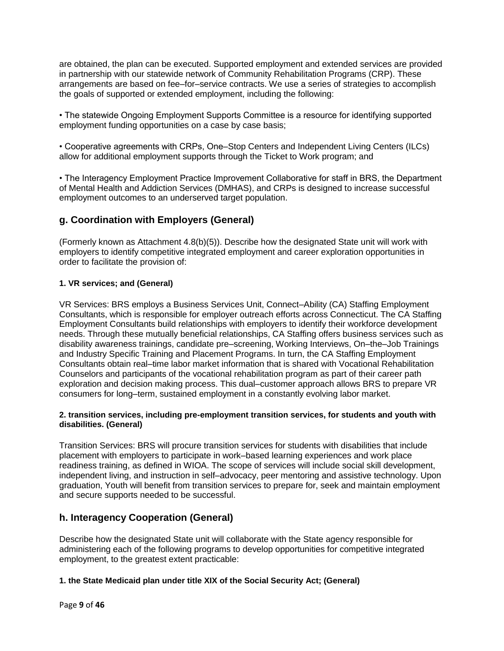are obtained, the plan can be executed. Supported employment and extended services are provided in partnership with our statewide network of Community Rehabilitation Programs (CRP). These arrangements are based on fee–for–service contracts. We use a series of strategies to accomplish the goals of supported or extended employment, including the following:

• The statewide Ongoing Employment Supports Committee is a resource for identifying supported employment funding opportunities on a case by case basis;

• Cooperative agreements with CRPs, One–Stop Centers and Independent Living Centers (ILCs) allow for additional employment supports through the Ticket to Work program; and

• The Interagency Employment Practice Improvement Collaborative for staff in BRS, the Department of Mental Health and Addiction Services (DMHAS), and CRPs is designed to increase successful employment outcomes to an underserved target population.

## **g. Coordination with Employers (General)**

(Formerly known as Attachment 4.8(b)(5)). Describe how the designated State unit will work with employers to identify competitive integrated employment and career exploration opportunities in order to facilitate the provision of:

## **1. VR services; and (General)**

VR Services: BRS employs a Business Services Unit, Connect–Ability (CA) Staffing Employment Consultants, which is responsible for employer outreach efforts across Connecticut. The CA Staffing Employment Consultants build relationships with employers to identify their workforce development needs. Through these mutually beneficial relationships, CA Staffing offers business services such as disability awareness trainings, candidate pre–screening, Working Interviews, On–the–Job Trainings and Industry Specific Training and Placement Programs. In turn, the CA Staffing Employment Consultants obtain real–time labor market information that is shared with Vocational Rehabilitation Counselors and participants of the vocational rehabilitation program as part of their career path exploration and decision making process. This dual–customer approach allows BRS to prepare VR consumers for long–term, sustained employment in a constantly evolving labor market.

#### **2. transition services, including pre-employment transition services, for students and youth with disabilities. (General)**

Transition Services: BRS will procure transition services for students with disabilities that include placement with employers to participate in work–based learning experiences and work place readiness training, as defined in WIOA. The scope of services will include social skill development, independent living, and instruction in self–advocacy, peer mentoring and assistive technology. Upon graduation, Youth will benefit from transition services to prepare for, seek and maintain employment and secure supports needed to be successful.

## **h. Interagency Cooperation (General)**

Describe how the designated State unit will collaborate with the State agency responsible for administering each of the following programs to develop opportunities for competitive integrated employment, to the greatest extent practicable:

## **1. the State Medicaid plan under title XIX of the Social Security Act; (General)**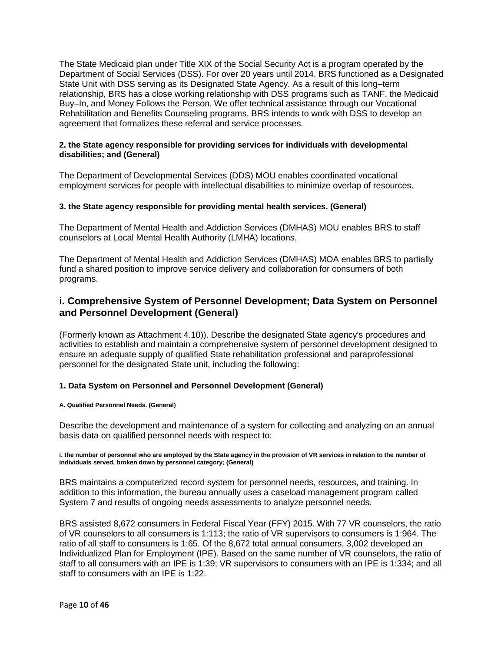The State Medicaid plan under Title XIX of the Social Security Act is a program operated by the Department of Social Services (DSS). For over 20 years until 2014, BRS functioned as a Designated State Unit with DSS serving as its Designated State Agency. As a result of this long–term relationship, BRS has a close working relationship with DSS programs such as TANF, the Medicaid Buy–In, and Money Follows the Person. We offer technical assistance through our Vocational Rehabilitation and Benefits Counseling programs. BRS intends to work with DSS to develop an agreement that formalizes these referral and service processes.

## **2. the State agency responsible for providing services for individuals with developmental disabilities; and (General)**

The Department of Developmental Services (DDS) MOU enables coordinated vocational employment services for people with intellectual disabilities to minimize overlap of resources.

## **3. the State agency responsible for providing mental health services. (General)**

The Department of Mental Health and Addiction Services (DMHAS) MOU enables BRS to staff counselors at Local Mental Health Authority (LMHA) locations.

The Department of Mental Health and Addiction Services (DMHAS) MOA enables BRS to partially fund a shared position to improve service delivery and collaboration for consumers of both programs.

## **i. Comprehensive System of Personnel Development; Data System on Personnel and Personnel Development (General)**

(Formerly known as Attachment 4.10)). Describe the designated State agency's procedures and activities to establish and maintain a comprehensive system of personnel development designed to ensure an adequate supply of qualified State rehabilitation professional and paraprofessional personnel for the designated State unit, including the following:

#### **1. Data System on Personnel and Personnel Development (General)**

#### **A. Qualified Personnel Needs. (General)**

Describe the development and maintenance of a system for collecting and analyzing on an annual basis data on qualified personnel needs with respect to:

#### **i. the number of personnel who are employed by the State agency in the provision of VR services in relation to the number of individuals served, broken down by personnel category; (General)**

BRS maintains a computerized record system for personnel needs, resources, and training. In addition to this information, the bureau annually uses a caseload management program called System 7 and results of ongoing needs assessments to analyze personnel needs.

BRS assisted 8,672 consumers in Federal Fiscal Year (FFY) 2015. With 77 VR counselors, the ratio of VR counselors to all consumers is 1:113; the ratio of VR supervisors to consumers is 1:964. The ratio of all staff to consumers is 1:65. Of the 8,672 total annual consumers, 3,002 developed an Individualized Plan for Employment (IPE). Based on the same number of VR counselors, the ratio of staff to all consumers with an IPE is 1:39; VR supervisors to consumers with an IPE is 1:334; and all staff to consumers with an IPE is 1:22.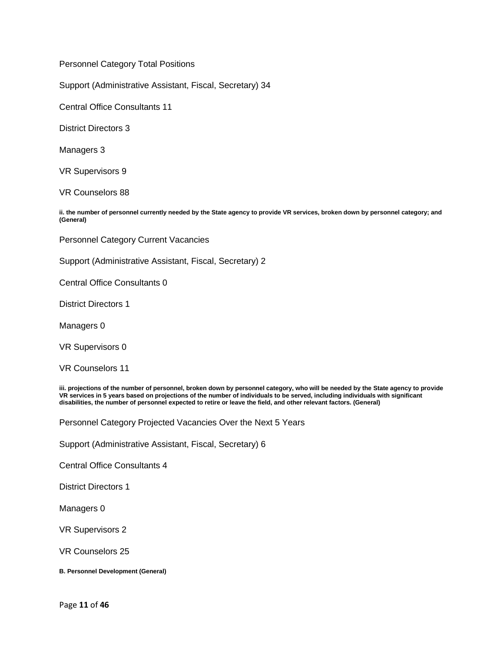Personnel Category Total Positions

Support (Administrative Assistant, Fiscal, Secretary) 34

Central Office Consultants 11

District Directors 3

Managers 3

VR Supervisors 9

VR Counselors 88

**ii. the number of personnel currently needed by the State agency to provide VR services, broken down by personnel category; and (General)**

Personnel Category Current Vacancies

Support (Administrative Assistant, Fiscal, Secretary) 2

Central Office Consultants 0

District Directors 1

Managers 0

VR Supervisors 0

VR Counselors 11

**iii. projections of the number of personnel, broken down by personnel category, who will be needed by the State agency to provide VR services in 5 years based on projections of the number of individuals to be served, including individuals with significant disabilities, the number of personnel expected to retire or leave the field, and other relevant factors. (General)**

Personnel Category Projected Vacancies Over the Next 5 Years

Support (Administrative Assistant, Fiscal, Secretary) 6

Central Office Consultants 4

District Directors 1

Managers 0

VR Supervisors 2

VR Counselors 25

**B. Personnel Development (General)**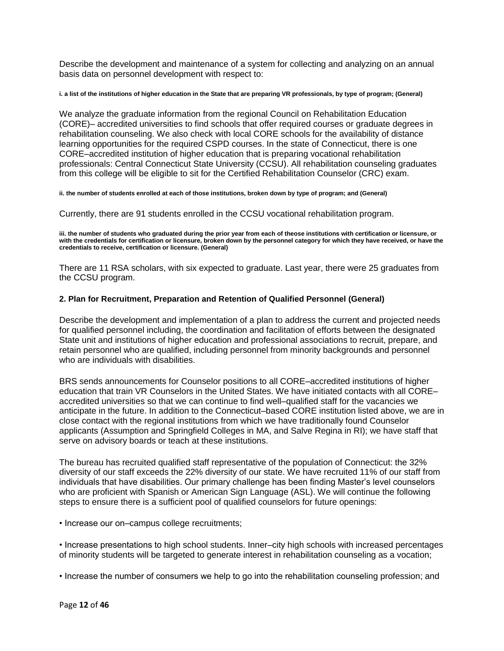Describe the development and maintenance of a system for collecting and analyzing on an annual basis data on personnel development with respect to:

#### **i. a list of the institutions of higher education in the State that are preparing VR professionals, by type of program; (General)**

We analyze the graduate information from the regional Council on Rehabilitation Education (CORE)– accredited universities to find schools that offer required courses or graduate degrees in rehabilitation counseling. We also check with local CORE schools for the availability of distance learning opportunities for the required CSPD courses. In the state of Connecticut, there is one CORE–accredited institution of higher education that is preparing vocational rehabilitation professionals: Central Connecticut State University (CCSU). All rehabilitation counseling graduates from this college will be eligible to sit for the Certified Rehabilitation Counselor (CRC) exam.

#### **ii. the number of students enrolled at each of those institutions, broken down by type of program; and (General)**

Currently, there are 91 students enrolled in the CCSU vocational rehabilitation program.

**iii. the number of students who graduated during the prior year from each of theose institutions with certification or licensure, or with the credentials for certification or licensure, broken down by the personnel category for which they have received, or have the credentials to receive, certification or licensure. (General)**

There are 11 RSA scholars, with six expected to graduate. Last year, there were 25 graduates from the CCSU program.

#### **2. Plan for Recruitment, Preparation and Retention of Qualified Personnel (General)**

Describe the development and implementation of a plan to address the current and projected needs for qualified personnel including, the coordination and facilitation of efforts between the designated State unit and institutions of higher education and professional associations to recruit, prepare, and retain personnel who are qualified, including personnel from minority backgrounds and personnel who are individuals with disabilities.

BRS sends announcements for Counselor positions to all CORE–accredited institutions of higher education that train VR Counselors in the United States. We have initiated contacts with all CORE– accredited universities so that we can continue to find well–qualified staff for the vacancies we anticipate in the future. In addition to the Connecticut–based CORE institution listed above, we are in close contact with the regional institutions from which we have traditionally found Counselor applicants (Assumption and Springfield Colleges in MA, and Salve Regina in RI); we have staff that serve on advisory boards or teach at these institutions.

The bureau has recruited qualified staff representative of the population of Connecticut: the 32% diversity of our staff exceeds the 22% diversity of our state. We have recruited 11% of our staff from individuals that have disabilities. Our primary challenge has been finding Master's level counselors who are proficient with Spanish or American Sign Language (ASL). We will continue the following steps to ensure there is a sufficient pool of qualified counselors for future openings:

• Increase our on–campus college recruitments;

• Increase presentations to high school students. Inner–city high schools with increased percentages of minority students will be targeted to generate interest in rehabilitation counseling as a vocation;

• Increase the number of consumers we help to go into the rehabilitation counseling profession; and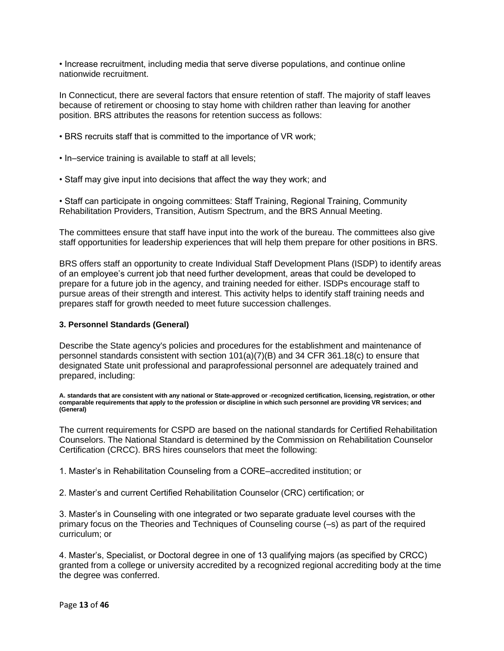• Increase recruitment, including media that serve diverse populations, and continue online nationwide recruitment.

In Connecticut, there are several factors that ensure retention of staff. The majority of staff leaves because of retirement or choosing to stay home with children rather than leaving for another position. BRS attributes the reasons for retention success as follows:

- BRS recruits staff that is committed to the importance of VR work;
- In–service training is available to staff at all levels;
- Staff may give input into decisions that affect the way they work; and

• Staff can participate in ongoing committees: Staff Training, Regional Training, Community Rehabilitation Providers, Transition, Autism Spectrum, and the BRS Annual Meeting.

The committees ensure that staff have input into the work of the bureau. The committees also give staff opportunities for leadership experiences that will help them prepare for other positions in BRS.

BRS offers staff an opportunity to create Individual Staff Development Plans (ISDP) to identify areas of an employee's current job that need further development, areas that could be developed to prepare for a future job in the agency, and training needed for either. ISDPs encourage staff to pursue areas of their strength and interest. This activity helps to identify staff training needs and prepares staff for growth needed to meet future succession challenges.

## **3. Personnel Standards (General)**

Describe the State agency's policies and procedures for the establishment and maintenance of personnel standards consistent with section  $101(a)(7)(B)$  and 34 CFR 361.18(c) to ensure that designated State unit professional and paraprofessional personnel are adequately trained and prepared, including:

**A. standards that are consistent with any national or State-approved or -recognized certification, licensing, registration, or other comparable requirements that apply to the profession or discipline in which such personnel are providing VR services; and (General)**

The current requirements for CSPD are based on the national standards for Certified Rehabilitation Counselors. The National Standard is determined by the Commission on Rehabilitation Counselor Certification (CRCC). BRS hires counselors that meet the following:

1. Master's in Rehabilitation Counseling from a CORE–accredited institution; or

2. Master's and current Certified Rehabilitation Counselor (CRC) certification; or

3. Master's in Counseling with one integrated or two separate graduate level courses with the primary focus on the Theories and Techniques of Counseling course (–s) as part of the required curriculum; or

4. Master's, Specialist, or Doctoral degree in one of 13 qualifying majors (as specified by CRCC) granted from a college or university accredited by a recognized regional accrediting body at the time the degree was conferred.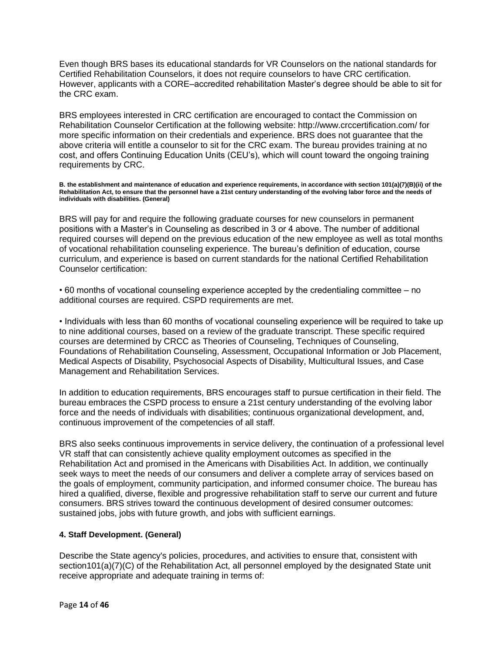Even though BRS bases its educational standards for VR Counselors on the national standards for Certified Rehabilitation Counselors, it does not require counselors to have CRC certification. However, applicants with a CORE–accredited rehabilitation Master's degree should be able to sit for the CRC exam.

BRS employees interested in CRC certification are encouraged to contact the Commission on Rehabilitation Counselor Certification at the following website: http://www.crccertification.com/ for more specific information on their credentials and experience. BRS does not guarantee that the above criteria will entitle a counselor to sit for the CRC exam. The bureau provides training at no cost, and offers Continuing Education Units (CEU's), which will count toward the ongoing training requirements by CRC.

**B. the establishment and maintenance of education and experience requirements, in accordance with section 101(a)(7)(B)(ii) of the Rehabilitation Act, to ensure that the personnel have a 21st century understanding of the evolving labor force and the needs of individuals with disabilities. (General)**

BRS will pay for and require the following graduate courses for new counselors in permanent positions with a Master's in Counseling as described in 3 or 4 above. The number of additional required courses will depend on the previous education of the new employee as well as total months of vocational rehabilitation counseling experience. The bureau's definition of education, course curriculum, and experience is based on current standards for the national Certified Rehabilitation Counselor certification:

• 60 months of vocational counseling experience accepted by the credentialing committee – no additional courses are required. CSPD requirements are met.

• Individuals with less than 60 months of vocational counseling experience will be required to take up to nine additional courses, based on a review of the graduate transcript. These specific required courses are determined by CRCC as Theories of Counseling, Techniques of Counseling, Foundations of Rehabilitation Counseling, Assessment, Occupational Information or Job Placement, Medical Aspects of Disability, Psychosocial Aspects of Disability, Multicultural Issues, and Case Management and Rehabilitation Services.

In addition to education requirements, BRS encourages staff to pursue certification in their field. The bureau embraces the CSPD process to ensure a 21st century understanding of the evolving labor force and the needs of individuals with disabilities; continuous organizational development, and, continuous improvement of the competencies of all staff.

BRS also seeks continuous improvements in service delivery, the continuation of a professional level VR staff that can consistently achieve quality employment outcomes as specified in the Rehabilitation Act and promised in the Americans with Disabilities Act. In addition, we continually seek ways to meet the needs of our consumers and deliver a complete array of services based on the goals of employment, community participation, and informed consumer choice. The bureau has hired a qualified, diverse, flexible and progressive rehabilitation staff to serve our current and future consumers. BRS strives toward the continuous development of desired consumer outcomes: sustained jobs, jobs with future growth, and jobs with sufficient earnings.

## **4. Staff Development. (General)**

Describe the State agency's policies, procedures, and activities to ensure that, consistent with section101(a)(7)(C) of the Rehabilitation Act, all personnel employed by the designated State unit receive appropriate and adequate training in terms of: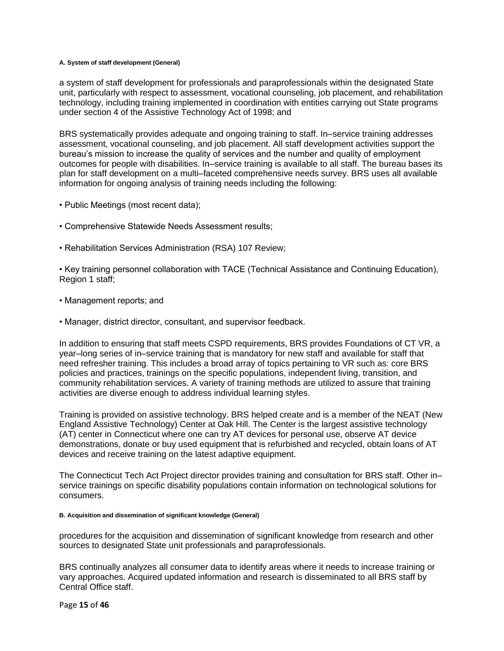#### **A. System of staff development (General)**

a system of staff development for professionals and paraprofessionals within the designated State unit, particularly with respect to assessment, vocational counseling, job placement, and rehabilitation technology, including training implemented in coordination with entities carrying out State programs under section 4 of the Assistive Technology Act of 1998; and

BRS systematically provides adequate and ongoing training to staff. In–service training addresses assessment, vocational counseling, and job placement. All staff development activities support the bureau's mission to increase the quality of services and the number and quality of employment outcomes for people with disabilities. In–service training is available to all staff. The bureau bases its plan for staff development on a multi–faceted comprehensive needs survey. BRS uses all available information for ongoing analysis of training needs including the following:

- Public Meetings (most recent data);
- Comprehensive Statewide Needs Assessment results;
- Rehabilitation Services Administration (RSA) 107 Review;

• Key training personnel collaboration with TACE (Technical Assistance and Continuing Education), Region 1 staff;

- Management reports; and
- Manager, district director, consultant, and supervisor feedback.

In addition to ensuring that staff meets CSPD requirements, BRS provides Foundations of CT VR, a year–long series of in–service training that is mandatory for new staff and available for staff that need refresher training. This includes a broad array of topics pertaining to VR such as: core BRS policies and practices, trainings on the specific populations, independent living, transition, and community rehabilitation services. A variety of training methods are utilized to assure that training activities are diverse enough to address individual learning styles.

Training is provided on assistive technology. BRS helped create and is a member of the NEAT (New England Assistive Technology) Center at Oak Hill. The Center is the largest assistive technology (AT) center in Connecticut where one can try AT devices for personal use, observe AT device demonstrations, donate or buy used equipment that is refurbished and recycled, obtain loans of AT devices and receive training on the latest adaptive equipment.

The Connecticut Tech Act Project director provides training and consultation for BRS staff. Other in– service trainings on specific disability populations contain information on technological solutions for consumers.

#### **B. Acquisition and dissemination of significant knowledge (General)**

procedures for the acquisition and dissemination of significant knowledge from research and other sources to designated State unit professionals and paraprofessionals.

BRS continually analyzes all consumer data to identify areas where it needs to increase training or vary approaches. Acquired updated information and research is disseminated to all BRS staff by Central Office staff.

Page **15** of **46**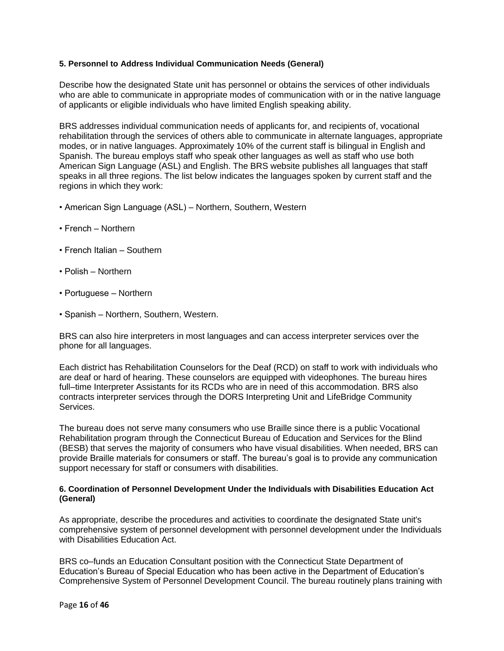## **5. Personnel to Address Individual Communication Needs (General)**

Describe how the designated State unit has personnel or obtains the services of other individuals who are able to communicate in appropriate modes of communication with or in the native language of applicants or eligible individuals who have limited English speaking ability.

BRS addresses individual communication needs of applicants for, and recipients of, vocational rehabilitation through the services of others able to communicate in alternate languages, appropriate modes, or in native languages. Approximately 10% of the current staff is bilingual in English and Spanish. The bureau employs staff who speak other languages as well as staff who use both American Sign Language (ASL) and English. The BRS website publishes all languages that staff speaks in all three regions. The list below indicates the languages spoken by current staff and the regions in which they work:

- American Sign Language (ASL) Northern, Southern, Western
- French Northern
- French Italian Southern
- Polish Northern
- Portuguese Northern
- Spanish Northern, Southern, Western.

BRS can also hire interpreters in most languages and can access interpreter services over the phone for all languages.

Each district has Rehabilitation Counselors for the Deaf (RCD) on staff to work with individuals who are deaf or hard of hearing. These counselors are equipped with videophones. The bureau hires full–time Interpreter Assistants for its RCDs who are in need of this accommodation. BRS also contracts interpreter services through the DORS Interpreting Unit and LifeBridge Community Services.

The bureau does not serve many consumers who use Braille since there is a public Vocational Rehabilitation program through the Connecticut Bureau of Education and Services for the Blind (BESB) that serves the majority of consumers who have visual disabilities. When needed, BRS can provide Braille materials for consumers or staff. The bureau's goal is to provide any communication support necessary for staff or consumers with disabilities.

## **6. Coordination of Personnel Development Under the Individuals with Disabilities Education Act (General)**

As appropriate, describe the procedures and activities to coordinate the designated State unit's comprehensive system of personnel development with personnel development under the Individuals with Disabilities Education Act.

BRS co–funds an Education Consultant position with the Connecticut State Department of Education's Bureau of Special Education who has been active in the Department of Education's Comprehensive System of Personnel Development Council. The bureau routinely plans training with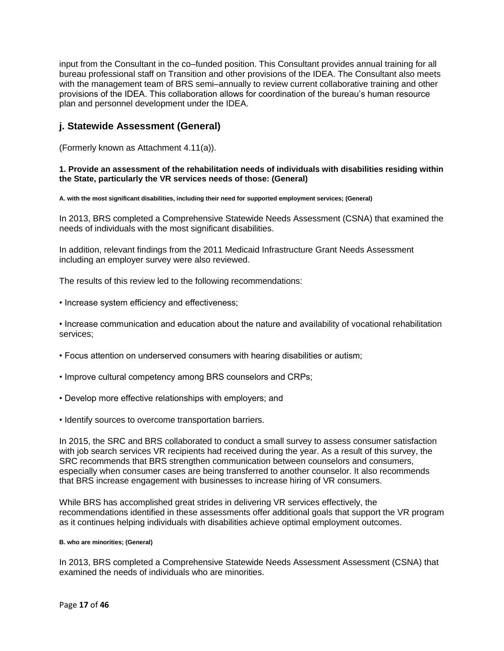input from the Consultant in the co–funded position. This Consultant provides annual training for all bureau professional staff on Transition and other provisions of the IDEA. The Consultant also meets with the management team of BRS semi–annually to review current collaborative training and other provisions of the IDEA. This collaboration allows for coordination of the bureau's human resource plan and personnel development under the IDEA.

## **j. Statewide Assessment (General)**

(Formerly known as Attachment 4.11(a)).

## **1. Provide an assessment of the rehabilitation needs of individuals with disabilities residing within the State, particularly the VR services needs of those: (General)**

**A. with the most significant disabilities, including their need for supported employment services; (General)**

In 2013, BRS completed a Comprehensive Statewide Needs Assessment (CSNA) that examined the needs of individuals with the most significant disabilities.

In addition, relevant findings from the 2011 Medicaid Infrastructure Grant Needs Assessment including an employer survey were also reviewed.

The results of this review led to the following recommendations:

• Increase system efficiency and effectiveness;

• Increase communication and education about the nature and availability of vocational rehabilitation services;

- Focus attention on underserved consumers with hearing disabilities or autism;
- Improve cultural competency among BRS counselors and CRPs;
- Develop more effective relationships with employers; and
- Identify sources to overcome transportation barriers.

In 2015, the SRC and BRS collaborated to conduct a small survey to assess consumer satisfaction with job search services VR recipients had received during the year. As a result of this survey, the SRC recommends that BRS strengthen communication between counselors and consumers, especially when consumer cases are being transferred to another counselor. It also recommends that BRS increase engagement with businesses to increase hiring of VR consumers.

While BRS has accomplished great strides in delivering VR services effectively, the recommendations identified in these assessments offer additional goals that support the VR program as it continues helping individuals with disabilities achieve optimal employment outcomes.

#### **B. who are minorities; (General)**

In 2013, BRS completed a Comprehensive Statewide Needs Assessment Assessment (CSNA) that examined the needs of individuals who are minorities.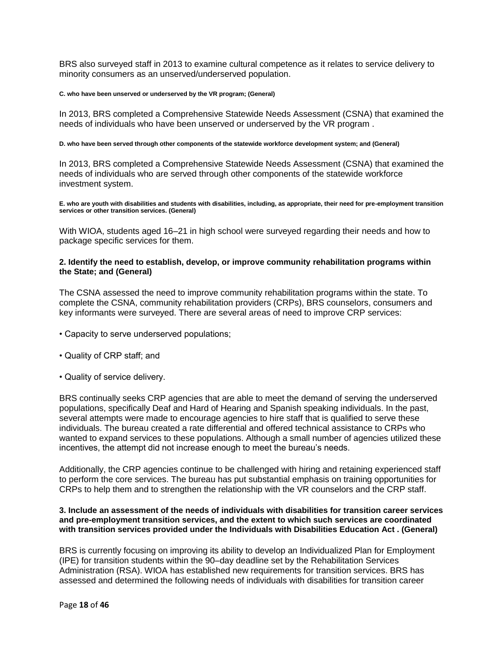BRS also surveyed staff in 2013 to examine cultural competence as it relates to service delivery to minority consumers as an unserved/underserved population.

#### **C. who have been unserved or underserved by the VR program; (General)**

In 2013, BRS completed a Comprehensive Statewide Needs Assessment (CSNA) that examined the needs of individuals who have been unserved or underserved by the VR program .

#### **D. who have been served through other components of the statewide workforce development system; and (General)**

In 2013, BRS completed a Comprehensive Statewide Needs Assessment (CSNA) that examined the needs of individuals who are served through other components of the statewide workforce investment system.

**E. who are youth with disabilities and students with disabilities, including, as appropriate, their need for pre-employment transition services or other transition services. (General)**

With WIOA, students aged 16–21 in high school were surveyed regarding their needs and how to package specific services for them.

#### **2. Identify the need to establish, develop, or improve community rehabilitation programs within the State; and (General)**

The CSNA assessed the need to improve community rehabilitation programs within the state. To complete the CSNA, community rehabilitation providers (CRPs), BRS counselors, consumers and key informants were surveyed. There are several areas of need to improve CRP services:

- Capacity to serve underserved populations;
- Quality of CRP staff; and
- Quality of service delivery.

BRS continually seeks CRP agencies that are able to meet the demand of serving the underserved populations, specifically Deaf and Hard of Hearing and Spanish speaking individuals. In the past, several attempts were made to encourage agencies to hire staff that is qualified to serve these individuals. The bureau created a rate differential and offered technical assistance to CRPs who wanted to expand services to these populations. Although a small number of agencies utilized these incentives, the attempt did not increase enough to meet the bureau's needs.

Additionally, the CRP agencies continue to be challenged with hiring and retaining experienced staff to perform the core services. The bureau has put substantial emphasis on training opportunities for CRPs to help them and to strengthen the relationship with the VR counselors and the CRP staff.

#### **3. Include an assessment of the needs of individuals with disabilities for transition career services and pre-employment transition services, and the extent to which such services are coordinated with transition services provided under the Individuals with Disabilities Education Act . (General)**

BRS is currently focusing on improving its ability to develop an Individualized Plan for Employment (IPE) for transition students within the 90–day deadline set by the Rehabilitation Services Administration (RSA). WIOA has established new requirements for transition services. BRS has assessed and determined the following needs of individuals with disabilities for transition career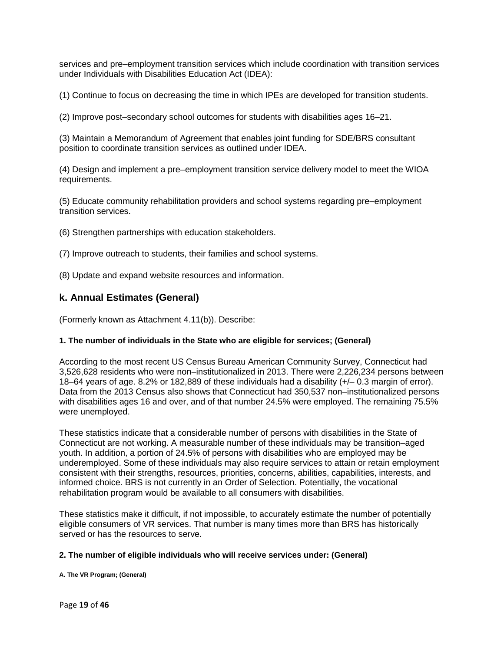services and pre–employment transition services which include coordination with transition services under Individuals with Disabilities Education Act (IDEA):

(1) Continue to focus on decreasing the time in which IPEs are developed for transition students.

(2) Improve post–secondary school outcomes for students with disabilities ages 16–21.

(3) Maintain a Memorandum of Agreement that enables joint funding for SDE/BRS consultant position to coordinate transition services as outlined under IDEA.

(4) Design and implement a pre–employment transition service delivery model to meet the WIOA requirements.

(5) Educate community rehabilitation providers and school systems regarding pre–employment transition services.

(6) Strengthen partnerships with education stakeholders.

(7) Improve outreach to students, their families and school systems.

(8) Update and expand website resources and information.

## **k. Annual Estimates (General)**

(Formerly known as Attachment 4.11(b)). Describe:

#### **1. The number of individuals in the State who are eligible for services; (General)**

According to the most recent US Census Bureau American Community Survey, Connecticut had 3,526,628 residents who were non–institutionalized in 2013. There were 2,226,234 persons between 18–64 years of age. 8.2% or 182,889 of these individuals had a disability (+/– 0.3 margin of error). Data from the 2013 Census also shows that Connecticut had 350,537 non–institutionalized persons with disabilities ages 16 and over, and of that number 24.5% were employed. The remaining 75.5% were unemployed.

These statistics indicate that a considerable number of persons with disabilities in the State of Connecticut are not working. A measurable number of these individuals may be transition–aged youth. In addition, a portion of 24.5% of persons with disabilities who are employed may be underemployed. Some of these individuals may also require services to attain or retain employment consistent with their strengths, resources, priorities, concerns, abilities, capabilities, interests, and informed choice. BRS is not currently in an Order of Selection. Potentially, the vocational rehabilitation program would be available to all consumers with disabilities.

These statistics make it difficult, if not impossible, to accurately estimate the number of potentially eligible consumers of VR services. That number is many times more than BRS has historically served or has the resources to serve.

#### **2. The number of eligible individuals who will receive services under: (General)**

**A. The VR Program; (General)**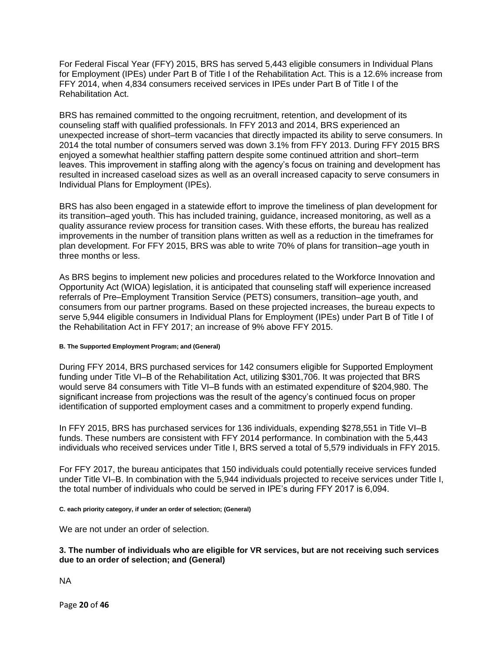For Federal Fiscal Year (FFY) 2015, BRS has served 5,443 eligible consumers in Individual Plans for Employment (IPEs) under Part B of Title I of the Rehabilitation Act. This is a 12.6% increase from FFY 2014, when 4,834 consumers received services in IPEs under Part B of Title I of the Rehabilitation Act.

BRS has remained committed to the ongoing recruitment, retention, and development of its counseling staff with qualified professionals. In FFY 2013 and 2014, BRS experienced an unexpected increase of short–term vacancies that directly impacted its ability to serve consumers. In 2014 the total number of consumers served was down 3.1% from FFY 2013. During FFY 2015 BRS enjoyed a somewhat healthier staffing pattern despite some continued attrition and short–term leaves. This improvement in staffing along with the agency's focus on training and development has resulted in increased caseload sizes as well as an overall increased capacity to serve consumers in Individual Plans for Employment (IPEs).

BRS has also been engaged in a statewide effort to improve the timeliness of plan development for its transition–aged youth. This has included training, guidance, increased monitoring, as well as a quality assurance review process for transition cases. With these efforts, the bureau has realized improvements in the number of transition plans written as well as a reduction in the timeframes for plan development. For FFY 2015, BRS was able to write 70% of plans for transition–age youth in three months or less.

As BRS begins to implement new policies and procedures related to the Workforce Innovation and Opportunity Act (WIOA) legislation, it is anticipated that counseling staff will experience increased referrals of Pre–Employment Transition Service (PETS) consumers, transition–age youth, and consumers from our partner programs. Based on these projected increases, the bureau expects to serve 5,944 eligible consumers in Individual Plans for Employment (IPEs) under Part B of Title I of the Rehabilitation Act in FFY 2017; an increase of 9% above FFY 2015.

#### **B. The Supported Employment Program; and (General)**

During FFY 2014, BRS purchased services for 142 consumers eligible for Supported Employment funding under Title VI–B of the Rehabilitation Act, utilizing \$301,706. It was projected that BRS would serve 84 consumers with Title VI–B funds with an estimated expenditure of \$204,980. The significant increase from projections was the result of the agency's continued focus on proper identification of supported employment cases and a commitment to properly expend funding.

In FFY 2015, BRS has purchased services for 136 individuals, expending \$278,551 in Title VI–B funds. These numbers are consistent with FFY 2014 performance. In combination with the 5,443 individuals who received services under Title I, BRS served a total of 5,579 individuals in FFY 2015.

For FFY 2017, the bureau anticipates that 150 individuals could potentially receive services funded under Title VI–B. In combination with the 5,944 individuals projected to receive services under Title I, the total number of individuals who could be served in IPE's during FFY 2017 is 6,094.

#### **C. each priority category, if under an order of selection; (General)**

We are not under an order of selection.

#### **3. The number of individuals who are eligible for VR services, but are not receiving such services due to an order of selection; and (General)**

NA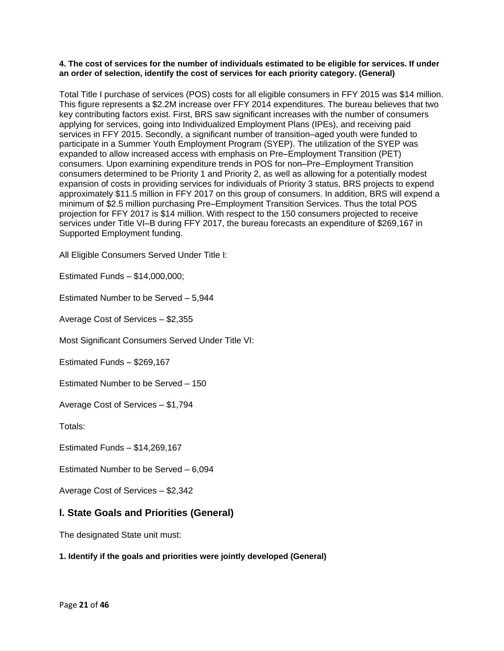### **4. The cost of services for the number of individuals estimated to be eligible for services. If under an order of selection, identify the cost of services for each priority category. (General)**

Total Title I purchase of services (POS) costs for all eligible consumers in FFY 2015 was \$14 million. This figure represents a \$2.2M increase over FFY 2014 expenditures. The bureau believes that two key contributing factors exist. First, BRS saw significant increases with the number of consumers applying for services, going into Individualized Employment Plans (IPEs), and receiving paid services in FFY 2015. Secondly, a significant number of transition–aged youth were funded to participate in a Summer Youth Employment Program (SYEP). The utilization of the SYEP was expanded to allow increased access with emphasis on Pre–Employment Transition (PET) consumers. Upon examining expenditure trends in POS for non–Pre–Employment Transition consumers determined to be Priority 1 and Priority 2, as well as allowing for a potentially modest expansion of costs in providing services for individuals of Priority 3 status, BRS projects to expend approximately \$11.5 million in FFY 2017 on this group of consumers. In addition, BRS will expend a minimum of \$2.5 million purchasing Pre–Employment Transition Services. Thus the total POS projection for FFY 2017 is \$14 million. With respect to the 150 consumers projected to receive services under Title VI–B during FFY 2017, the bureau forecasts an expenditure of \$269,167 in Supported Employment funding.

All Eligible Consumers Served Under Title I:

Estimated Funds – \$14,000,000;

Estimated Number to be Served – 5,944

Average Cost of Services – \$2,355

Most Significant Consumers Served Under Title VI:

Estimated Funds – \$269,167

Estimated Number to be Served – 150

Average Cost of Services – \$1,794

Totals:

Estimated Funds – \$14,269,167

Estimated Number to be Served – 6,094

Average Cost of Services – \$2,342

## **l. State Goals and Priorities (General)**

The designated State unit must:

## **1. Identify if the goals and priorities were jointly developed (General)**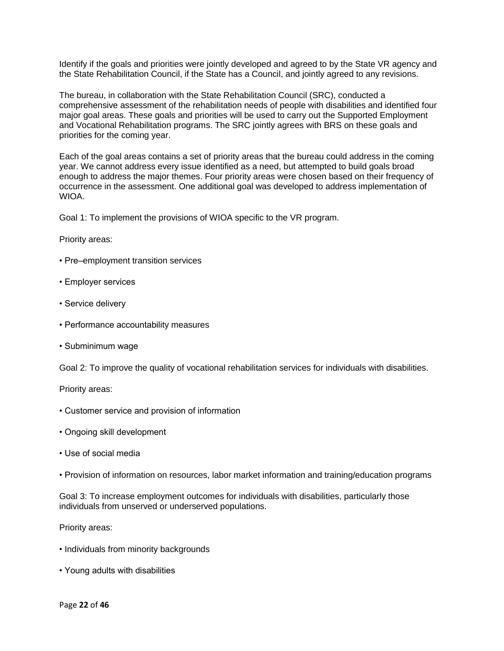Identify if the goals and priorities were jointly developed and agreed to by the State VR agency and the State Rehabilitation Council, if the State has a Council, and jointly agreed to any revisions.

The bureau, in collaboration with the State Rehabilitation Council (SRC), conducted a comprehensive assessment of the rehabilitation needs of people with disabilities and identified four major goal areas. These goals and priorities will be used to carry out the Supported Employment and Vocational Rehabilitation programs. The SRC jointly agrees with BRS on these goals and priorities for the coming year.

Each of the goal areas contains a set of priority areas that the bureau could address in the coming year. We cannot address every issue identified as a need, but attempted to build goals broad enough to address the major themes. Four priority areas were chosen based on their frequency of occurrence in the assessment. One additional goal was developed to address implementation of WIOA.

Goal 1: To implement the provisions of WIOA specific to the VR program.

Priority areas:

- Pre–employment transition services
- Employer services
- Service delivery
- Performance accountability measures
- Subminimum wage

Goal 2: To improve the quality of vocational rehabilitation services for individuals with disabilities.

Priority areas:

- Customer service and provision of information
- Ongoing skill development
- Use of social media
- Provision of information on resources, labor market information and training/education programs

Goal 3: To increase employment outcomes for individuals with disabilities, particularly those individuals from unserved or underserved populations.

Priority areas:

- Individuals from minority backgrounds
- Young adults with disabilities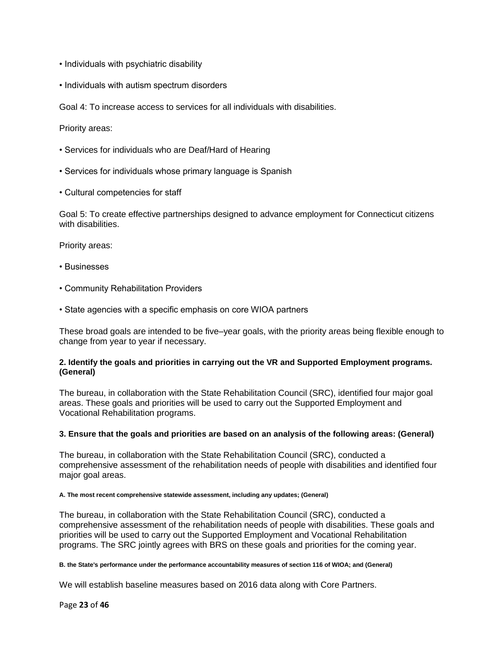- Individuals with psychiatric disability
- Individuals with autism spectrum disorders

Goal 4: To increase access to services for all individuals with disabilities.

Priority areas:

- Services for individuals who are Deaf/Hard of Hearing
- Services for individuals whose primary language is Spanish
- Cultural competencies for staff

Goal 5: To create effective partnerships designed to advance employment for Connecticut citizens with disabilities

Priority areas:

- Businesses
- Community Rehabilitation Providers
- State agencies with a specific emphasis on core WIOA partners

These broad goals are intended to be five–year goals, with the priority areas being flexible enough to change from year to year if necessary.

## **2. Identify the goals and priorities in carrying out the VR and Supported Employment programs. (General)**

The bureau, in collaboration with the State Rehabilitation Council (SRC), identified four major goal areas. These goals and priorities will be used to carry out the Supported Employment and Vocational Rehabilitation programs.

#### **3. Ensure that the goals and priorities are based on an analysis of the following areas: (General)**

The bureau, in collaboration with the State Rehabilitation Council (SRC), conducted a comprehensive assessment of the rehabilitation needs of people with disabilities and identified four major goal areas.

**A. The most recent comprehensive statewide assessment, including any updates; (General)**

The bureau, in collaboration with the State Rehabilitation Council (SRC), conducted a comprehensive assessment of the rehabilitation needs of people with disabilities. These goals and priorities will be used to carry out the Supported Employment and Vocational Rehabilitation programs. The SRC jointly agrees with BRS on these goals and priorities for the coming year.

#### **B. the State's performance under the performance accountability measures of section 116 of WIOA; and (General)**

We will establish baseline measures based on 2016 data along with Core Partners.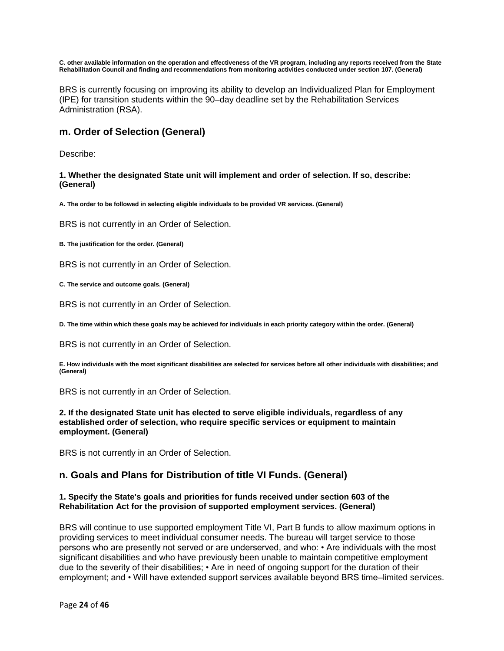**C. other available information on the operation and effectiveness of the VR program, including any reports received from the State Rehabilitation Council and finding and recommendations from monitoring activities conducted under section 107. (General)**

BRS is currently focusing on improving its ability to develop an Individualized Plan for Employment (IPE) for transition students within the 90–day deadline set by the Rehabilitation Services Administration (RSA).

## **m. Order of Selection (General)**

Describe:

**1. Whether the designated State unit will implement and order of selection. If so, describe: (General)**

**A. The order to be followed in selecting eligible individuals to be provided VR services. (General)**

BRS is not currently in an Order of Selection.

**B. The justification for the order. (General)**

BRS is not currently in an Order of Selection.

**C. The service and outcome goals. (General)**

BRS is not currently in an Order of Selection.

**D. The time within which these goals may be achieved for individuals in each priority category within the order. (General)**

BRS is not currently in an Order of Selection.

**E. How individuals with the most significant disabilities are selected for services before all other individuals with disabilities; and (General)**

BRS is not currently in an Order of Selection.

#### **2. If the designated State unit has elected to serve eligible individuals, regardless of any established order of selection, who require specific services or equipment to maintain employment. (General)**

BRS is not currently in an Order of Selection.

## **n. Goals and Plans for Distribution of title VI Funds. (General)**

#### **1. Specify the State's goals and priorities for funds received under section 603 of the Rehabilitation Act for the provision of supported employment services. (General)**

BRS will continue to use supported employment Title VI, Part B funds to allow maximum options in providing services to meet individual consumer needs. The bureau will target service to those persons who are presently not served or are underserved, and who: • Are individuals with the most significant disabilities and who have previously been unable to maintain competitive employment due to the severity of their disabilities; • Are in need of ongoing support for the duration of their employment; and • Will have extended support services available beyond BRS time–limited services.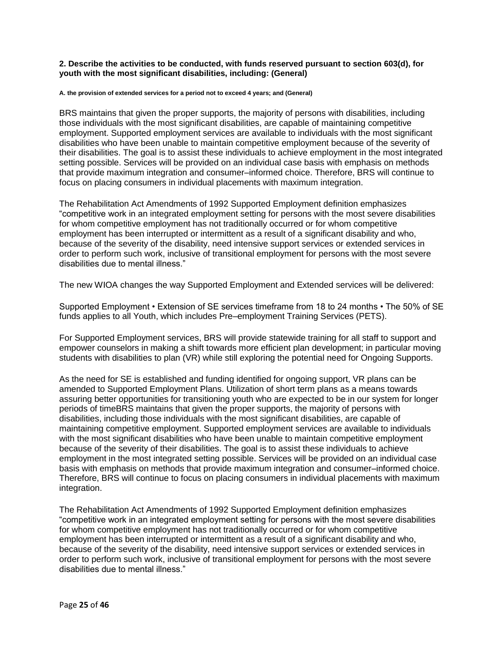#### **2. Describe the activities to be conducted, with funds reserved pursuant to section 603(d), for youth with the most significant disabilities, including: (General)**

#### **A. the provision of extended services for a period not to exceed 4 years; and (General)**

BRS maintains that given the proper supports, the majority of persons with disabilities, including those individuals with the most significant disabilities, are capable of maintaining competitive employment. Supported employment services are available to individuals with the most significant disabilities who have been unable to maintain competitive employment because of the severity of their disabilities. The goal is to assist these individuals to achieve employment in the most integrated setting possible. Services will be provided on an individual case basis with emphasis on methods that provide maximum integration and consumer–informed choice. Therefore, BRS will continue to focus on placing consumers in individual placements with maximum integration.

The Rehabilitation Act Amendments of 1992 Supported Employment definition emphasizes "competitive work in an integrated employment setting for persons with the most severe disabilities for whom competitive employment has not traditionally occurred or for whom competitive employment has been interrupted or intermittent as a result of a significant disability and who, because of the severity of the disability, need intensive support services or extended services in order to perform such work, inclusive of transitional employment for persons with the most severe disabilities due to mental illness."

The new WIOA changes the way Supported Employment and Extended services will be delivered:

Supported Employment • Extension of SE services timeframe from 18 to 24 months • The 50% of SE funds applies to all Youth, which includes Pre–employment Training Services (PETS).

For Supported Employment services, BRS will provide statewide training for all staff to support and empower counselors in making a shift towards more efficient plan development; in particular moving students with disabilities to plan (VR) while still exploring the potential need for Ongoing Supports.

As the need for SE is established and funding identified for ongoing support, VR plans can be amended to Supported Employment Plans. Utilization of short term plans as a means towards assuring better opportunities for transitioning youth who are expected to be in our system for longer periods of timeBRS maintains that given the proper supports, the majority of persons with disabilities, including those individuals with the most significant disabilities, are capable of maintaining competitive employment. Supported employment services are available to individuals with the most significant disabilities who have been unable to maintain competitive employment because of the severity of their disabilities. The goal is to assist these individuals to achieve employment in the most integrated setting possible. Services will be provided on an individual case basis with emphasis on methods that provide maximum integration and consumer–informed choice. Therefore, BRS will continue to focus on placing consumers in individual placements with maximum integration.

The Rehabilitation Act Amendments of 1992 Supported Employment definition emphasizes "competitive work in an integrated employment setting for persons with the most severe disabilities for whom competitive employment has not traditionally occurred or for whom competitive employment has been interrupted or intermittent as a result of a significant disability and who, because of the severity of the disability, need intensive support services or extended services in order to perform such work, inclusive of transitional employment for persons with the most severe disabilities due to mental illness."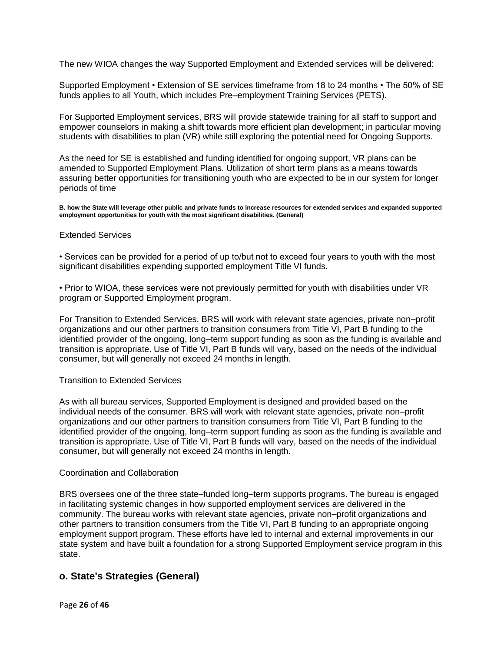The new WIOA changes the way Supported Employment and Extended services will be delivered:

Supported Employment • Extension of SE services timeframe from 18 to 24 months • The 50% of SE funds applies to all Youth, which includes Pre–employment Training Services (PETS).

For Supported Employment services, BRS will provide statewide training for all staff to support and empower counselors in making a shift towards more efficient plan development; in particular moving students with disabilities to plan (VR) while still exploring the potential need for Ongoing Supports.

As the need for SE is established and funding identified for ongoing support, VR plans can be amended to Supported Employment Plans. Utilization of short term plans as a means towards assuring better opportunities for transitioning youth who are expected to be in our system for longer periods of time

**B. how the State will leverage other public and private funds to increase resources for extended services and expanded supported employment opportunities for youth with the most significant disabilities. (General)**

#### Extended Services

• Services can be provided for a period of up to/but not to exceed four years to youth with the most significant disabilities expending supported employment Title VI funds.

• Prior to WIOA, these services were not previously permitted for youth with disabilities under VR program or Supported Employment program.

For Transition to Extended Services, BRS will work with relevant state agencies, private non–profit organizations and our other partners to transition consumers from Title VI, Part B funding to the identified provider of the ongoing, long–term support funding as soon as the funding is available and transition is appropriate. Use of Title VI, Part B funds will vary, based on the needs of the individual consumer, but will generally not exceed 24 months in length.

#### Transition to Extended Services

As with all bureau services, Supported Employment is designed and provided based on the individual needs of the consumer. BRS will work with relevant state agencies, private non–profit organizations and our other partners to transition consumers from Title VI, Part B funding to the identified provider of the ongoing, long–term support funding as soon as the funding is available and transition is appropriate. Use of Title VI, Part B funds will vary, based on the needs of the individual consumer, but will generally not exceed 24 months in length.

#### Coordination and Collaboration

BRS oversees one of the three state–funded long–term supports programs. The bureau is engaged in facilitating systemic changes in how supported employment services are delivered in the community. The bureau works with relevant state agencies, private non–profit organizations and other partners to transition consumers from the Title VI, Part B funding to an appropriate ongoing employment support program. These efforts have led to internal and external improvements in our state system and have built a foundation for a strong Supported Employment service program in this state.

## **o. State's Strategies (General)**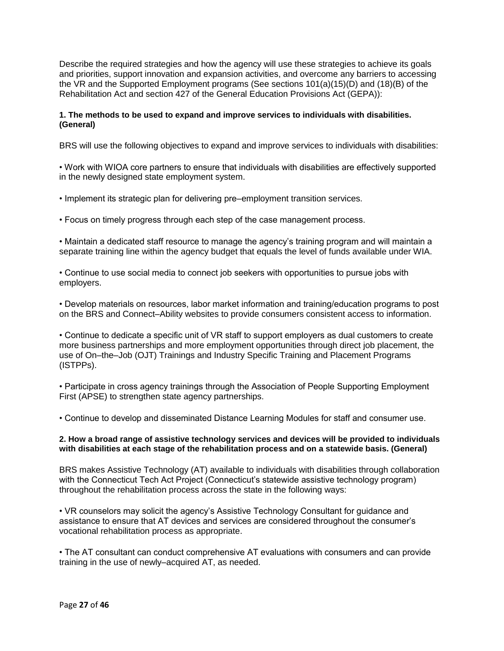Describe the required strategies and how the agency will use these strategies to achieve its goals and priorities, support innovation and expansion activities, and overcome any barriers to accessing the VR and the Supported Employment programs (See sections 101(a)(15)(D) and (18)(B) of the Rehabilitation Act and section 427 of the General Education Provisions Act (GEPA)):

## **1. The methods to be used to expand and improve services to individuals with disabilities. (General)**

BRS will use the following objectives to expand and improve services to individuals with disabilities:

• Work with WIOA core partners to ensure that individuals with disabilities are effectively supported in the newly designed state employment system.

• Implement its strategic plan for delivering pre–employment transition services.

• Focus on timely progress through each step of the case management process.

• Maintain a dedicated staff resource to manage the agency's training program and will maintain a separate training line within the agency budget that equals the level of funds available under WIA.

• Continue to use social media to connect job seekers with opportunities to pursue jobs with employers.

• Develop materials on resources, labor market information and training/education programs to post on the BRS and Connect–Ability websites to provide consumers consistent access to information.

• Continue to dedicate a specific unit of VR staff to support employers as dual customers to create more business partnerships and more employment opportunities through direct job placement, the use of On–the–Job (OJT) Trainings and Industry Specific Training and Placement Programs (ISTPPs).

• Participate in cross agency trainings through the Association of People Supporting Employment First (APSE) to strengthen state agency partnerships.

• Continue to develop and disseminated Distance Learning Modules for staff and consumer use.

#### **2. How a broad range of assistive technology services and devices will be provided to individuals with disabilities at each stage of the rehabilitation process and on a statewide basis. (General)**

BRS makes Assistive Technology (AT) available to individuals with disabilities through collaboration with the Connecticut Tech Act Project (Connecticut's statewide assistive technology program) throughout the rehabilitation process across the state in the following ways:

• VR counselors may solicit the agency's Assistive Technology Consultant for guidance and assistance to ensure that AT devices and services are considered throughout the consumer's vocational rehabilitation process as appropriate.

• The AT consultant can conduct comprehensive AT evaluations with consumers and can provide training in the use of newly–acquired AT, as needed.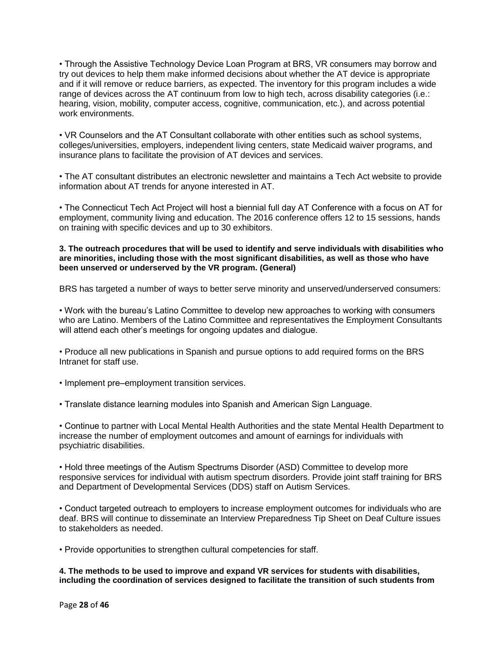• Through the Assistive Technology Device Loan Program at BRS, VR consumers may borrow and try out devices to help them make informed decisions about whether the AT device is appropriate and if it will remove or reduce barriers, as expected. The inventory for this program includes a wide range of devices across the AT continuum from low to high tech, across disability categories (i.e.: hearing, vision, mobility, computer access, cognitive, communication, etc.), and across potential work environments.

• VR Counselors and the AT Consultant collaborate with other entities such as school systems, colleges/universities, employers, independent living centers, state Medicaid waiver programs, and insurance plans to facilitate the provision of AT devices and services.

• The AT consultant distributes an electronic newsletter and maintains a Tech Act website to provide information about AT trends for anyone interested in AT.

• The Connecticut Tech Act Project will host a biennial full day AT Conference with a focus on AT for employment, community living and education. The 2016 conference offers 12 to 15 sessions, hands on training with specific devices and up to 30 exhibitors.

#### **3. The outreach procedures that will be used to identify and serve individuals with disabilities who are minorities, including those with the most significant disabilities, as well as those who have been unserved or underserved by the VR program. (General)**

BRS has targeted a number of ways to better serve minority and unserved/underserved consumers:

• Work with the bureau's Latino Committee to develop new approaches to working with consumers who are Latino. Members of the Latino Committee and representatives the Employment Consultants will attend each other's meetings for ongoing updates and dialogue.

- Produce all new publications in Spanish and pursue options to add required forms on the BRS Intranet for staff use.
- Implement pre–employment transition services.
- Translate distance learning modules into Spanish and American Sign Language.

• Continue to partner with Local Mental Health Authorities and the state Mental Health Department to increase the number of employment outcomes and amount of earnings for individuals with psychiatric disabilities.

• Hold three meetings of the Autism Spectrums Disorder (ASD) Committee to develop more responsive services for individual with autism spectrum disorders. Provide joint staff training for BRS and Department of Developmental Services (DDS) staff on Autism Services.

• Conduct targeted outreach to employers to increase employment outcomes for individuals who are deaf. BRS will continue to disseminate an Interview Preparedness Tip Sheet on Deaf Culture issues to stakeholders as needed.

• Provide opportunities to strengthen cultural competencies for staff.

**4. The methods to be used to improve and expand VR services for students with disabilities, including the coordination of services designed to facilitate the transition of such students from**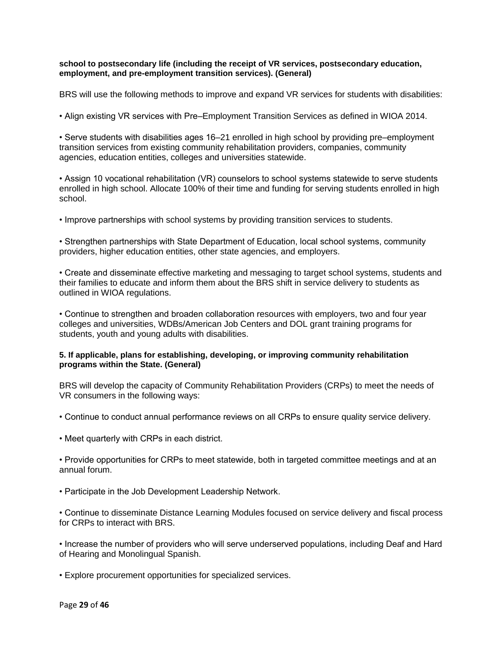### **school to postsecondary life (including the receipt of VR services, postsecondary education, employment, and pre-employment transition services). (General)**

BRS will use the following methods to improve and expand VR services for students with disabilities:

• Align existing VR services with Pre–Employment Transition Services as defined in WIOA 2014.

• Serve students with disabilities ages 16–21 enrolled in high school by providing pre–employment transition services from existing community rehabilitation providers, companies, community agencies, education entities, colleges and universities statewide.

• Assign 10 vocational rehabilitation (VR) counselors to school systems statewide to serve students enrolled in high school. Allocate 100% of their time and funding for serving students enrolled in high school.

• Improve partnerships with school systems by providing transition services to students.

• Strengthen partnerships with State Department of Education, local school systems, community providers, higher education entities, other state agencies, and employers.

• Create and disseminate effective marketing and messaging to target school systems, students and their families to educate and inform them about the BRS shift in service delivery to students as outlined in WIOA regulations.

• Continue to strengthen and broaden collaboration resources with employers, two and four year colleges and universities, WDBs/American Job Centers and DOL grant training programs for students, youth and young adults with disabilities.

## **5. If applicable, plans for establishing, developing, or improving community rehabilitation programs within the State. (General)**

BRS will develop the capacity of Community Rehabilitation Providers (CRPs) to meet the needs of VR consumers in the following ways:

- Continue to conduct annual performance reviews on all CRPs to ensure quality service delivery.
- Meet quarterly with CRPs in each district.

• Provide opportunities for CRPs to meet statewide, both in targeted committee meetings and at an annual forum.

• Participate in the Job Development Leadership Network.

• Continue to disseminate Distance Learning Modules focused on service delivery and fiscal process for CRPs to interact with BRS.

• Increase the number of providers who will serve underserved populations, including Deaf and Hard of Hearing and Monolingual Spanish.

• Explore procurement opportunities for specialized services.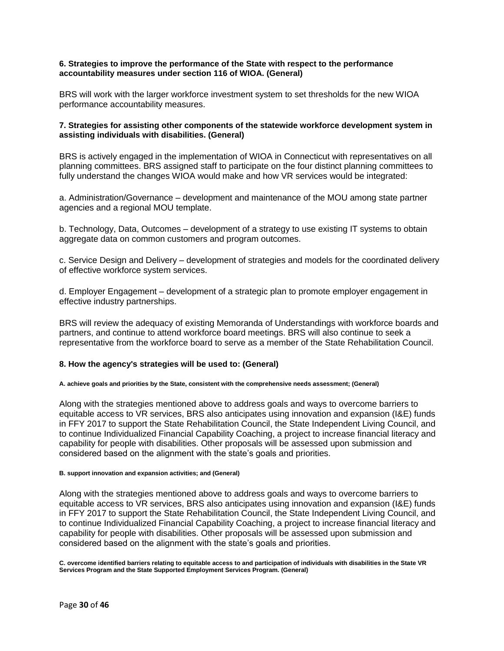### **6. Strategies to improve the performance of the State with respect to the performance accountability measures under section 116 of WIOA. (General)**

BRS will work with the larger workforce investment system to set thresholds for the new WIOA performance accountability measures.

## **7. Strategies for assisting other components of the statewide workforce development system in assisting individuals with disabilities. (General)**

BRS is actively engaged in the implementation of WIOA in Connecticut with representatives on all planning committees. BRS assigned staff to participate on the four distinct planning committees to fully understand the changes WIOA would make and how VR services would be integrated:

a. Administration/Governance – development and maintenance of the MOU among state partner agencies and a regional MOU template.

b. Technology, Data, Outcomes – development of a strategy to use existing IT systems to obtain aggregate data on common customers and program outcomes.

c. Service Design and Delivery – development of strategies and models for the coordinated delivery of effective workforce system services.

d. Employer Engagement – development of a strategic plan to promote employer engagement in effective industry partnerships.

BRS will review the adequacy of existing Memoranda of Understandings with workforce boards and partners, and continue to attend workforce board meetings. BRS will also continue to seek a representative from the workforce board to serve as a member of the State Rehabilitation Council.

## **8. How the agency's strategies will be used to: (General)**

**A. achieve goals and priorities by the State, consistent with the comprehensive needs assessment; (General)**

Along with the strategies mentioned above to address goals and ways to overcome barriers to equitable access to VR services, BRS also anticipates using innovation and expansion (I&E) funds in FFY 2017 to support the State Rehabilitation Council, the State Independent Living Council, and to continue Individualized Financial Capability Coaching, a project to increase financial literacy and capability for people with disabilities. Other proposals will be assessed upon submission and considered based on the alignment with the state's goals and priorities.

#### **B. support innovation and expansion activities; and (General)**

Along with the strategies mentioned above to address goals and ways to overcome barriers to equitable access to VR services, BRS also anticipates using innovation and expansion (I&E) funds in FFY 2017 to support the State Rehabilitation Council, the State Independent Living Council, and to continue Individualized Financial Capability Coaching, a project to increase financial literacy and capability for people with disabilities. Other proposals will be assessed upon submission and considered based on the alignment with the state's goals and priorities.

**C. overcome identified barriers relating to equitable access to and participation of individuals with disabilities in the State VR Services Program and the State Supported Employment Services Program. (General)**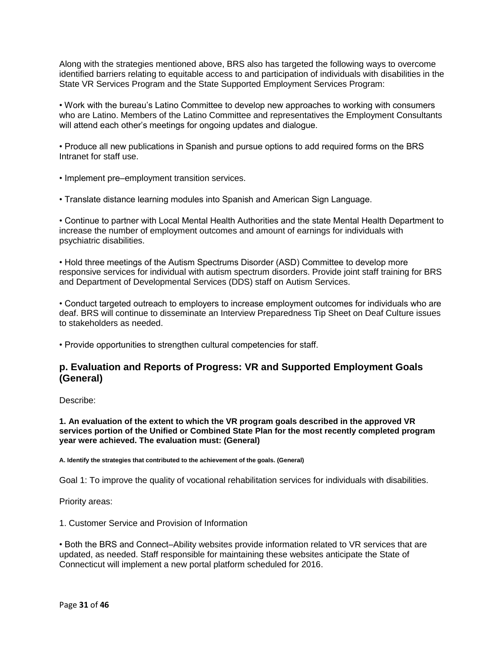Along with the strategies mentioned above, BRS also has targeted the following ways to overcome identified barriers relating to equitable access to and participation of individuals with disabilities in the State VR Services Program and the State Supported Employment Services Program:

• Work with the bureau's Latino Committee to develop new approaches to working with consumers who are Latino. Members of the Latino Committee and representatives the Employment Consultants will attend each other's meetings for ongoing updates and dialogue.

• Produce all new publications in Spanish and pursue options to add required forms on the BRS Intranet for staff use.

- Implement pre–employment transition services.
- Translate distance learning modules into Spanish and American Sign Language.

• Continue to partner with Local Mental Health Authorities and the state Mental Health Department to increase the number of employment outcomes and amount of earnings for individuals with psychiatric disabilities.

• Hold three meetings of the Autism Spectrums Disorder (ASD) Committee to develop more responsive services for individual with autism spectrum disorders. Provide joint staff training for BRS and Department of Developmental Services (DDS) staff on Autism Services.

• Conduct targeted outreach to employers to increase employment outcomes for individuals who are deaf. BRS will continue to disseminate an Interview Preparedness Tip Sheet on Deaf Culture issues to stakeholders as needed.

• Provide opportunities to strengthen cultural competencies for staff.

## **p. Evaluation and Reports of Progress: VR and Supported Employment Goals (General)**

Describe:

#### **1. An evaluation of the extent to which the VR program goals described in the approved VR services portion of the Unified or Combined State Plan for the most recently completed program year were achieved. The evaluation must: (General)**

**A. Identify the strategies that contributed to the achievement of the goals. (General)**

Goal 1: To improve the quality of vocational rehabilitation services for individuals with disabilities.

Priority areas:

1. Customer Service and Provision of Information

• Both the BRS and Connect–Ability websites provide information related to VR services that are updated, as needed. Staff responsible for maintaining these websites anticipate the State of Connecticut will implement a new portal platform scheduled for 2016.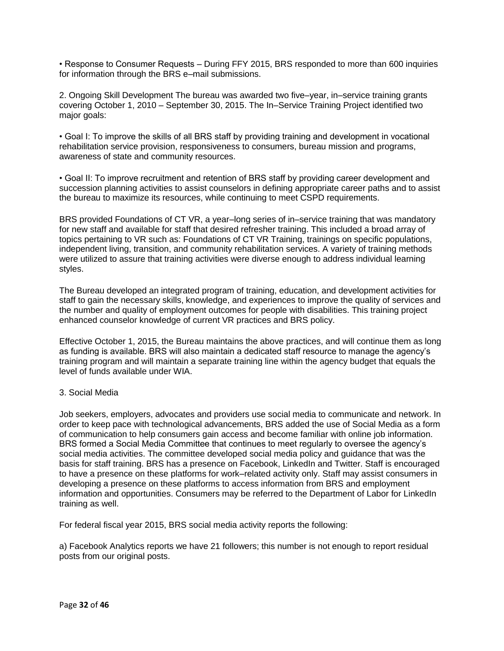• Response to Consumer Requests – During FFY 2015, BRS responded to more than 600 inquiries for information through the BRS e–mail submissions.

2. Ongoing Skill Development The bureau was awarded two five–year, in–service training grants covering October 1, 2010 – September 30, 2015. The In–Service Training Project identified two major goals:

• Goal I: To improve the skills of all BRS staff by providing training and development in vocational rehabilitation service provision, responsiveness to consumers, bureau mission and programs, awareness of state and community resources.

• Goal II: To improve recruitment and retention of BRS staff by providing career development and succession planning activities to assist counselors in defining appropriate career paths and to assist the bureau to maximize its resources, while continuing to meet CSPD requirements.

BRS provided Foundations of CT VR, a year–long series of in–service training that was mandatory for new staff and available for staff that desired refresher training. This included a broad array of topics pertaining to VR such as: Foundations of CT VR Training, trainings on specific populations, independent living, transition, and community rehabilitation services. A variety of training methods were utilized to assure that training activities were diverse enough to address individual learning styles.

The Bureau developed an integrated program of training, education, and development activities for staff to gain the necessary skills, knowledge, and experiences to improve the quality of services and the number and quality of employment outcomes for people with disabilities. This training project enhanced counselor knowledge of current VR practices and BRS policy.

Effective October 1, 2015, the Bureau maintains the above practices, and will continue them as long as funding is available. BRS will also maintain a dedicated staff resource to manage the agency's training program and will maintain a separate training line within the agency budget that equals the level of funds available under WIA.

## 3. Social Media

Job seekers, employers, advocates and providers use social media to communicate and network. In order to keep pace with technological advancements, BRS added the use of Social Media as a form of communication to help consumers gain access and become familiar with online job information. BRS formed a Social Media Committee that continues to meet regularly to oversee the agency's social media activities. The committee developed social media policy and guidance that was the basis for staff training. BRS has a presence on Facebook, LinkedIn and Twitter. Staff is encouraged to have a presence on these platforms for work–related activity only. Staff may assist consumers in developing a presence on these platforms to access information from BRS and employment information and opportunities. Consumers may be referred to the Department of Labor for LinkedIn training as well.

For federal fiscal year 2015, BRS social media activity reports the following:

a) Facebook Analytics reports we have 21 followers; this number is not enough to report residual posts from our original posts.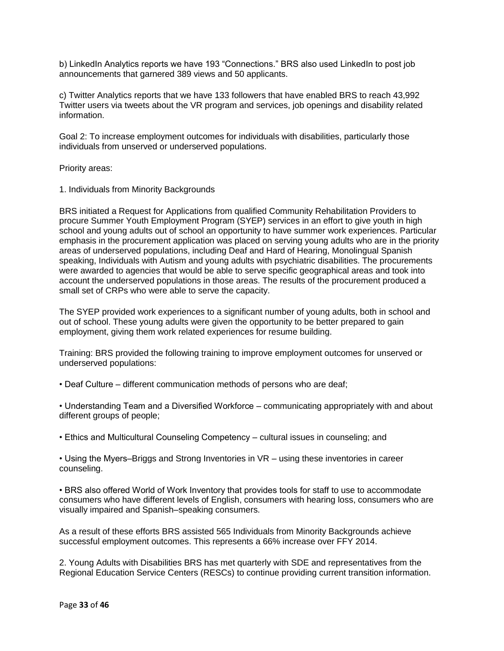b) LinkedIn Analytics reports we have 193 "Connections." BRS also used LinkedIn to post job announcements that garnered 389 views and 50 applicants.

c) Twitter Analytics reports that we have 133 followers that have enabled BRS to reach 43,992 Twitter users via tweets about the VR program and services, job openings and disability related information.

Goal 2: To increase employment outcomes for individuals with disabilities, particularly those individuals from unserved or underserved populations.

Priority areas:

1. Individuals from Minority Backgrounds

BRS initiated a Request for Applications from qualified Community Rehabilitation Providers to procure Summer Youth Employment Program (SYEP) services in an effort to give youth in high school and young adults out of school an opportunity to have summer work experiences. Particular emphasis in the procurement application was placed on serving young adults who are in the priority areas of underserved populations, including Deaf and Hard of Hearing, Monolingual Spanish speaking, Individuals with Autism and young adults with psychiatric disabilities. The procurements were awarded to agencies that would be able to serve specific geographical areas and took into account the underserved populations in those areas. The results of the procurement produced a small set of CRPs who were able to serve the capacity.

The SYEP provided work experiences to a significant number of young adults, both in school and out of school. These young adults were given the opportunity to be better prepared to gain employment, giving them work related experiences for resume building.

Training: BRS provided the following training to improve employment outcomes for unserved or underserved populations:

• Deaf Culture – different communication methods of persons who are deaf;

• Understanding Team and a Diversified Workforce – communicating appropriately with and about different groups of people;

• Ethics and Multicultural Counseling Competency – cultural issues in counseling; and

• Using the Myers–Briggs and Strong Inventories in VR – using these inventories in career counseling.

• BRS also offered World of Work Inventory that provides tools for staff to use to accommodate consumers who have different levels of English, consumers with hearing loss, consumers who are visually impaired and Spanish–speaking consumers.

As a result of these efforts BRS assisted 565 Individuals from Minority Backgrounds achieve successful employment outcomes. This represents a 66% increase over FFY 2014.

2. Young Adults with Disabilities BRS has met quarterly with SDE and representatives from the Regional Education Service Centers (RESCs) to continue providing current transition information.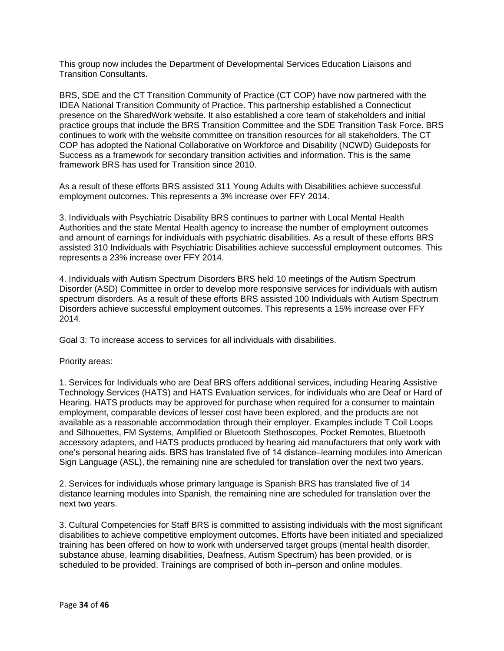This group now includes the Department of Developmental Services Education Liaisons and Transition Consultants.

BRS, SDE and the CT Transition Community of Practice (CT COP) have now partnered with the IDEA National Transition Community of Practice. This partnership established a Connecticut presence on the SharedWork website. It also established a core team of stakeholders and initial practice groups that include the BRS Transition Committee and the SDE Transition Task Force. BRS continues to work with the website committee on transition resources for all stakeholders. The CT COP has adopted the National Collaborative on Workforce and Disability (NCWD) Guideposts for Success as a framework for secondary transition activities and information. This is the same framework BRS has used for Transition since 2010.

As a result of these efforts BRS assisted 311 Young Adults with Disabilities achieve successful employment outcomes. This represents a 3% increase over FFY 2014.

3. Individuals with Psychiatric Disability BRS continues to partner with Local Mental Health Authorities and the state Mental Health agency to increase the number of employment outcomes and amount of earnings for individuals with psychiatric disabilities. As a result of these efforts BRS assisted 310 Individuals with Psychiatric Disabilities achieve successful employment outcomes. This represents a 23% increase over FFY 2014.

4. Individuals with Autism Spectrum Disorders BRS held 10 meetings of the Autism Spectrum Disorder (ASD) Committee in order to develop more responsive services for individuals with autism spectrum disorders. As a result of these efforts BRS assisted 100 Individuals with Autism Spectrum Disorders achieve successful employment outcomes. This represents a 15% increase over FFY 2014.

Goal 3: To increase access to services for all individuals with disabilities.

#### Priority areas:

1. Services for Individuals who are Deaf BRS offers additional services, including Hearing Assistive Technology Services (HATS) and HATS Evaluation services, for individuals who are Deaf or Hard of Hearing. HATS products may be approved for purchase when required for a consumer to maintain employment, comparable devices of lesser cost have been explored, and the products are not available as a reasonable accommodation through their employer. Examples include T Coil Loops and Silhouettes, FM Systems, Amplified or Bluetooth Stethoscopes, Pocket Remotes, Bluetooth accessory adapters, and HATS products produced by hearing aid manufacturers that only work with one's personal hearing aids. BRS has translated five of 14 distance–learning modules into American Sign Language (ASL), the remaining nine are scheduled for translation over the next two years.

2. Services for individuals whose primary language is Spanish BRS has translated five of 14 distance learning modules into Spanish, the remaining nine are scheduled for translation over the next two years.

3. Cultural Competencies for Staff BRS is committed to assisting individuals with the most significant disabilities to achieve competitive employment outcomes. Efforts have been initiated and specialized training has been offered on how to work with underserved target groups (mental health disorder, substance abuse, learning disabilities, Deafness, Autism Spectrum) has been provided, or is scheduled to be provided. Trainings are comprised of both in–person and online modules.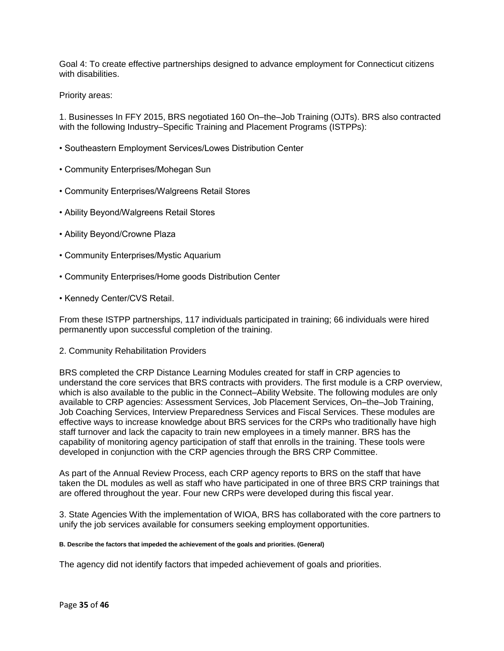Goal 4: To create effective partnerships designed to advance employment for Connecticut citizens with disabilities.

Priority areas:

1. Businesses In FFY 2015, BRS negotiated 160 On–the–Job Training (OJTs). BRS also contracted with the following Industry–Specific Training and Placement Programs (ISTPPs):

- Southeastern Employment Services/Lowes Distribution Center
- Community Enterprises/Mohegan Sun
- Community Enterprises/Walgreens Retail Stores
- Ability Beyond/Walgreens Retail Stores
- Ability Beyond/Crowne Plaza
- Community Enterprises/Mystic Aquarium
- Community Enterprises/Home goods Distribution Center
- Kennedy Center/CVS Retail.

From these ISTPP partnerships, 117 individuals participated in training; 66 individuals were hired permanently upon successful completion of the training.

2. Community Rehabilitation Providers

BRS completed the CRP Distance Learning Modules created for staff in CRP agencies to understand the core services that BRS contracts with providers. The first module is a CRP overview, which is also available to the public in the Connect–Ability Website. The following modules are only available to CRP agencies: Assessment Services, Job Placement Services, On–the–Job Training, Job Coaching Services, Interview Preparedness Services and Fiscal Services. These modules are effective ways to increase knowledge about BRS services for the CRPs who traditionally have high staff turnover and lack the capacity to train new employees in a timely manner. BRS has the capability of monitoring agency participation of staff that enrolls in the training. These tools were developed in conjunction with the CRP agencies through the BRS CRP Committee.

As part of the Annual Review Process, each CRP agency reports to BRS on the staff that have taken the DL modules as well as staff who have participated in one of three BRS CRP trainings that are offered throughout the year. Four new CRPs were developed during this fiscal year.

3. State Agencies With the implementation of WIOA, BRS has collaborated with the core partners to unify the job services available for consumers seeking employment opportunities.

#### **B. Describe the factors that impeded the achievement of the goals and priorities. (General)**

The agency did not identify factors that impeded achievement of goals and priorities.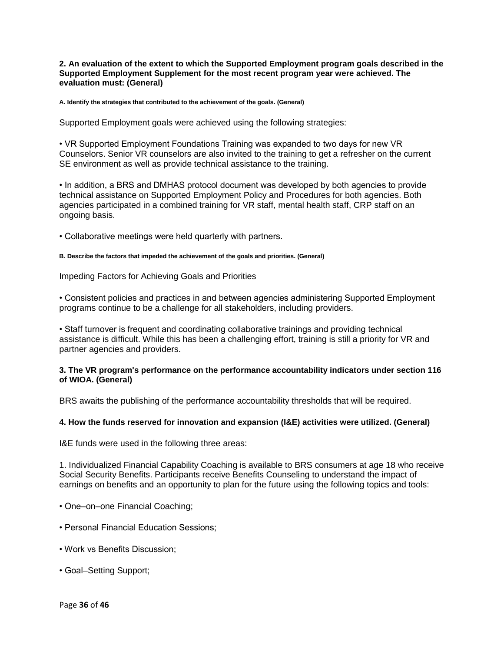**2. An evaluation of the extent to which the Supported Employment program goals described in the Supported Employment Supplement for the most recent program year were achieved. The evaluation must: (General)**

**A. Identify the strategies that contributed to the achievement of the goals. (General)**

Supported Employment goals were achieved using the following strategies:

• VR Supported Employment Foundations Training was expanded to two days for new VR Counselors. Senior VR counselors are also invited to the training to get a refresher on the current SE environment as well as provide technical assistance to the training.

• In addition, a BRS and DMHAS protocol document was developed by both agencies to provide technical assistance on Supported Employment Policy and Procedures for both agencies. Both agencies participated in a combined training for VR staff, mental health staff, CRP staff on an ongoing basis.

• Collaborative meetings were held quarterly with partners.

#### **B. Describe the factors that impeded the achievement of the goals and priorities. (General)**

Impeding Factors for Achieving Goals and Priorities

• Consistent policies and practices in and between agencies administering Supported Employment programs continue to be a challenge for all stakeholders, including providers.

• Staff turnover is frequent and coordinating collaborative trainings and providing technical assistance is difficult. While this has been a challenging effort, training is still a priority for VR and partner agencies and providers.

## **3. The VR program's performance on the performance accountability indicators under section 116 of WIOA. (General)**

BRS awaits the publishing of the performance accountability thresholds that will be required.

#### **4. How the funds reserved for innovation and expansion (I&E) activities were utilized. (General)**

I&E funds were used in the following three areas:

1. Individualized Financial Capability Coaching is available to BRS consumers at age 18 who receive Social Security Benefits. Participants receive Benefits Counseling to understand the impact of earnings on benefits and an opportunity to plan for the future using the following topics and tools:

- One–on–one Financial Coaching;
- Personal Financial Education Sessions;
- Work vs Benefits Discussion;
- Goal–Setting Support;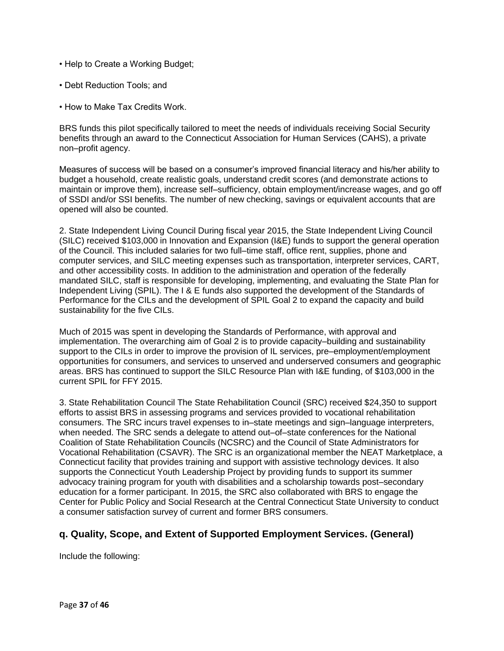- Help to Create a Working Budget;
- Debt Reduction Tools; and
- How to Make Tax Credits Work.

BRS funds this pilot specifically tailored to meet the needs of individuals receiving Social Security benefits through an award to the Connecticut Association for Human Services (CAHS), a private non–profit agency.

Measures of success will be based on a consumer's improved financial literacy and his/her ability to budget a household, create realistic goals, understand credit scores (and demonstrate actions to maintain or improve them), increase self–sufficiency, obtain employment/increase wages, and go off of SSDI and/or SSI benefits. The number of new checking, savings or equivalent accounts that are opened will also be counted.

2. State Independent Living Council During fiscal year 2015, the State Independent Living Council (SILC) received \$103,000 in Innovation and Expansion (I&E) funds to support the general operation of the Council. This included salaries for two full–time staff, office rent, supplies, phone and computer services, and SILC meeting expenses such as transportation, interpreter services, CART, and other accessibility costs. In addition to the administration and operation of the federally mandated SILC, staff is responsible for developing, implementing, and evaluating the State Plan for Independent Living (SPIL). The I & E funds also supported the development of the Standards of Performance for the CILs and the development of SPIL Goal 2 to expand the capacity and build sustainability for the five CILs.

Much of 2015 was spent in developing the Standards of Performance, with approval and implementation. The overarching aim of Goal 2 is to provide capacity–building and sustainability support to the CILs in order to improve the provision of IL services, pre–employment/employment opportunities for consumers, and services to unserved and underserved consumers and geographic areas. BRS has continued to support the SILC Resource Plan with I&E funding, of \$103,000 in the current SPIL for FFY 2015.

3. State Rehabilitation Council The State Rehabilitation Council (SRC) received \$24,350 to support efforts to assist BRS in assessing programs and services provided to vocational rehabilitation consumers. The SRC incurs travel expenses to in–state meetings and sign–language interpreters, when needed. The SRC sends a delegate to attend out–of–state conferences for the National Coalition of State Rehabilitation Councils (NCSRC) and the Council of State Administrators for Vocational Rehabilitation (CSAVR). The SRC is an organizational member the NEAT Marketplace, a Connecticut facility that provides training and support with assistive technology devices. It also supports the Connecticut Youth Leadership Project by providing funds to support its summer advocacy training program for youth with disabilities and a scholarship towards post–secondary education for a former participant. In 2015, the SRC also collaborated with BRS to engage the Center for Public Policy and Social Research at the Central Connecticut State University to conduct a consumer satisfaction survey of current and former BRS consumers.

## **q. Quality, Scope, and Extent of Supported Employment Services. (General)**

Include the following: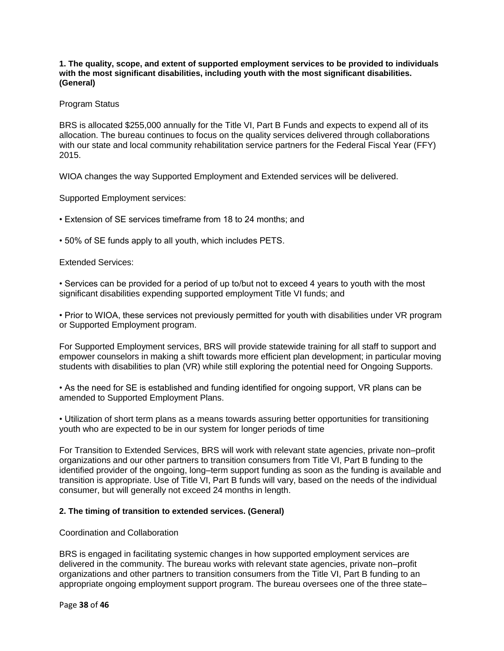**1. The quality, scope, and extent of supported employment services to be provided to individuals with the most significant disabilities, including youth with the most significant disabilities. (General)**

## Program Status

BRS is allocated \$255,000 annually for the Title VI, Part B Funds and expects to expend all of its allocation. The bureau continues to focus on the quality services delivered through collaborations with our state and local community rehabilitation service partners for the Federal Fiscal Year (FFY) 2015.

WIOA changes the way Supported Employment and Extended services will be delivered.

Supported Employment services:

• Extension of SE services timeframe from 18 to 24 months; and

• 50% of SE funds apply to all youth, which includes PETS.

## Extended Services:

• Services can be provided for a period of up to/but not to exceed 4 years to youth with the most significant disabilities expending supported employment Title VI funds; and

• Prior to WIOA, these services not previously permitted for youth with disabilities under VR program or Supported Employment program.

For Supported Employment services, BRS will provide statewide training for all staff to support and empower counselors in making a shift towards more efficient plan development; in particular moving students with disabilities to plan (VR) while still exploring the potential need for Ongoing Supports.

• As the need for SE is established and funding identified for ongoing support, VR plans can be amended to Supported Employment Plans.

• Utilization of short term plans as a means towards assuring better opportunities for transitioning youth who are expected to be in our system for longer periods of time

For Transition to Extended Services, BRS will work with relevant state agencies, private non–profit organizations and our other partners to transition consumers from Title VI, Part B funding to the identified provider of the ongoing, long–term support funding as soon as the funding is available and transition is appropriate. Use of Title VI, Part B funds will vary, based on the needs of the individual consumer, but will generally not exceed 24 months in length.

#### **2. The timing of transition to extended services. (General)**

#### Coordination and Collaboration

BRS is engaged in facilitating systemic changes in how supported employment services are delivered in the community. The bureau works with relevant state agencies, private non–profit organizations and other partners to transition consumers from the Title VI, Part B funding to an appropriate ongoing employment support program. The bureau oversees one of the three state–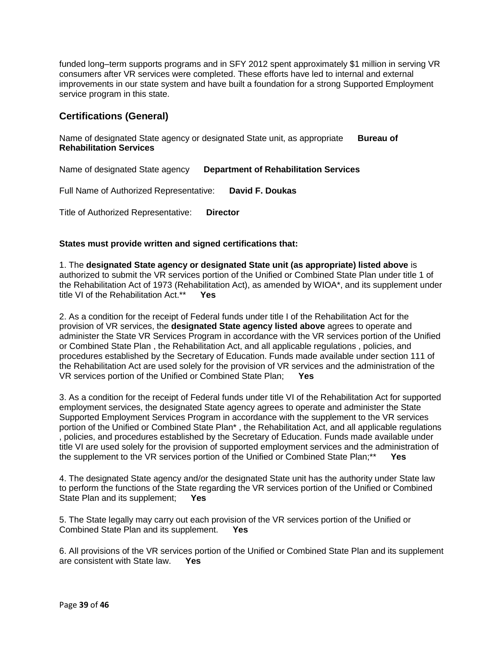funded long–term supports programs and in SFY 2012 spent approximately \$1 million in serving VR consumers after VR services were completed. These efforts have led to internal and external improvements in our state system and have built a foundation for a strong Supported Employment service program in this state.

## **Certifications (General)**

Name of designated State agency or designated State unit, as appropriate **Bureau of Rehabilitation Services**

Name of designated State agency **Department of Rehabilitation Services**

Full Name of Authorized Representative: **David F. Doukas**

Title of Authorized Representative: **Director**

## **States must provide written and signed certifications that:**

1. The **designated State agency or designated State unit (as appropriate) listed above** is authorized to submit the VR services portion of the Unified or Combined State Plan under title 1 of the Rehabilitation Act of 1973 (Rehabilitation Act), as amended by WIOA\*, and its supplement under title VI of the Rehabilitation Act.\*\* **Yes**

2. As a condition for the receipt of Federal funds under title I of the Rehabilitation Act for the provision of VR services, the **designated State agency listed above** agrees to operate and administer the State VR Services Program in accordance with the VR services portion of the Unified or Combined State Plan , the Rehabilitation Act, and all applicable regulations , policies, and procedures established by the Secretary of Education. Funds made available under section 111 of the Rehabilitation Act are used solely for the provision of VR services and the administration of the VR services portion of the Unified or Combined State Plan; **Yes**

3. As a condition for the receipt of Federal funds under title VI of the Rehabilitation Act for supported employment services, the designated State agency agrees to operate and administer the State Supported Employment Services Program in accordance with the supplement to the VR services portion of the Unified or Combined State Plan\* , the Rehabilitation Act, and all applicable regulations , policies, and procedures established by the Secretary of Education. Funds made available under title VI are used solely for the provision of supported employment services and the administration of the supplement to the VR services portion of the Unified or Combined State Plan;\*\* **Yes**

4. The designated State agency and/or the designated State unit has the authority under State law to perform the functions of the State regarding the VR services portion of the Unified or Combined State Plan and its supplement; **Yes**

5. The State legally may carry out each provision of the VR services portion of the Unified or Combined State Plan and its supplement. **Yes**

6. All provisions of the VR services portion of the Unified or Combined State Plan and its supplement are consistent with State law. **Yes**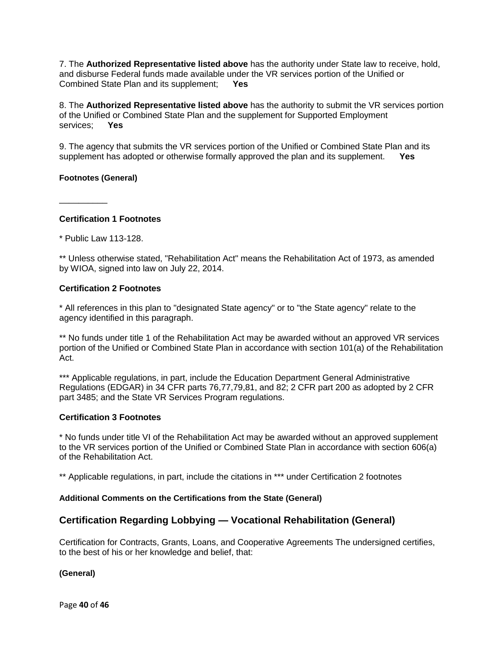7. The **Authorized Representative listed above** has the authority under State law to receive, hold, and disburse Federal funds made available under the VR services portion of the Unified or Combined State Plan and its supplement; **Yes**

8. The **Authorized Representative listed above** has the authority to submit the VR services portion of the Unified or Combined State Plan and the supplement for Supported Employment services; **Yes**

9. The agency that submits the VR services portion of the Unified or Combined State Plan and its supplement has adopted or otherwise formally approved the plan and its supplement. **Yes**

## **Footnotes (General)**

\_\_\_\_\_\_\_\_\_\_

**Certification 1 Footnotes**

\* Public Law 113-128.

\*\* Unless otherwise stated, "Rehabilitation Act" means the Rehabilitation Act of 1973, as amended by WIOA, signed into law on July 22, 2014.

## **Certification 2 Footnotes**

\* All references in this plan to "designated State agency" or to "the State agency" relate to the agency identified in this paragraph.

\*\* No funds under title 1 of the Rehabilitation Act may be awarded without an approved VR services portion of the Unified or Combined State Plan in accordance with section 101(a) of the Rehabilitation Act.

\*\*\* Applicable regulations, in part, include the Education Department General Administrative Regulations (EDGAR) in 34 CFR parts 76,77,79,81, and 82; 2 CFR part 200 as adopted by 2 CFR part 3485; and the State VR Services Program regulations.

#### **Certification 3 Footnotes**

\* No funds under title VI of the Rehabilitation Act may be awarded without an approved supplement to the VR services portion of the Unified or Combined State Plan in accordance with section 606(a) of the Rehabilitation Act.

\*\* Applicable regulations, in part, include the citations in \*\*\* under Certification 2 footnotes

#### **Additional Comments on the Certifications from the State (General)**

## **Certification Regarding Lobbying — Vocational Rehabilitation (General)**

Certification for Contracts, Grants, Loans, and Cooperative Agreements The undersigned certifies, to the best of his or her knowledge and belief, that:

**(General)**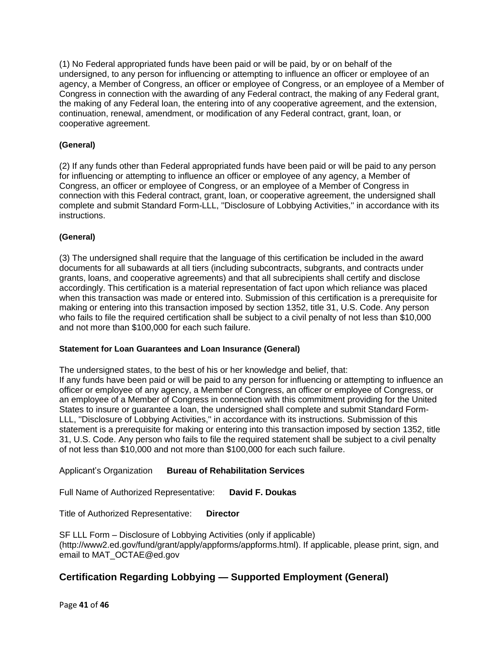(1) No Federal appropriated funds have been paid or will be paid, by or on behalf of the undersigned, to any person for influencing or attempting to influence an officer or employee of an agency, a Member of Congress, an officer or employee of Congress, or an employee of a Member of Congress in connection with the awarding of any Federal contract, the making of any Federal grant, the making of any Federal loan, the entering into of any cooperative agreement, and the extension, continuation, renewal, amendment, or modification of any Federal contract, grant, loan, or cooperative agreement.

## **(General)**

(2) If any funds other than Federal appropriated funds have been paid or will be paid to any person for influencing or attempting to influence an officer or employee of any agency, a Member of Congress, an officer or employee of Congress, or an employee of a Member of Congress in connection with this Federal contract, grant, loan, or cooperative agreement, the undersigned shall complete and submit Standard Form-LLL, ''Disclosure of Lobbying Activities,'' in accordance with its instructions.

## **(General)**

(3) The undersigned shall require that the language of this certification be included in the award documents for all subawards at all tiers (including subcontracts, subgrants, and contracts under grants, loans, and cooperative agreements) and that all subrecipients shall certify and disclose accordingly. This certification is a material representation of fact upon which reliance was placed when this transaction was made or entered into. Submission of this certification is a prerequisite for making or entering into this transaction imposed by section 1352, title 31, U.S. Code. Any person who fails to file the required certification shall be subject to a civil penalty of not less than \$10,000 and not more than \$100,000 for each such failure.

## **Statement for Loan Guarantees and Loan Insurance (General)**

The undersigned states, to the best of his or her knowledge and belief, that: If any funds have been paid or will be paid to any person for influencing or attempting to influence an officer or employee of any agency, a Member of Congress, an officer or employee of Congress, or an employee of a Member of Congress in connection with this commitment providing for the United States to insure or guarantee a loan, the undersigned shall complete and submit Standard Form-LLL, ''Disclosure of Lobbying Activities,'' in accordance with its instructions. Submission of this statement is a prerequisite for making or entering into this transaction imposed by section 1352, title 31, U.S. Code. Any person who fails to file the required statement shall be subject to a civil penalty of not less than \$10,000 and not more than \$100,000 for each such failure.

## Applicant's Organization **Bureau of Rehabilitation Services**

Full Name of Authorized Representative: **David F. Doukas**

Title of Authorized Representative: **Director**

SF LLL Form – Disclosure of Lobbying Activities (only if applicable) (http://www2.ed.gov/fund/grant/apply/appforms/appforms.html). If applicable, please print, sign, and email to MAT\_OCTAE@ed.gov

## **Certification Regarding Lobbying — Supported Employment (General)**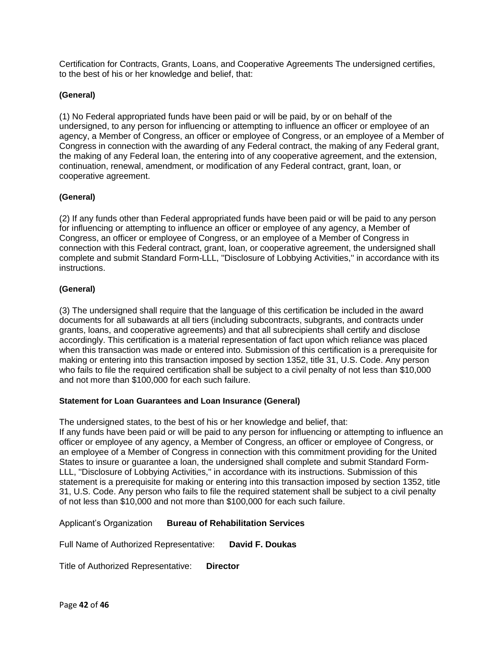Certification for Contracts, Grants, Loans, and Cooperative Agreements The undersigned certifies, to the best of his or her knowledge and belief, that:

## **(General)**

(1) No Federal appropriated funds have been paid or will be paid, by or on behalf of the undersigned, to any person for influencing or attempting to influence an officer or employee of an agency, a Member of Congress, an officer or employee of Congress, or an employee of a Member of Congress in connection with the awarding of any Federal contract, the making of any Federal grant, the making of any Federal loan, the entering into of any cooperative agreement, and the extension, continuation, renewal, amendment, or modification of any Federal contract, grant, loan, or cooperative agreement.

## **(General)**

(2) If any funds other than Federal appropriated funds have been paid or will be paid to any person for influencing or attempting to influence an officer or employee of any agency, a Member of Congress, an officer or employee of Congress, or an employee of a Member of Congress in connection with this Federal contract, grant, loan, or cooperative agreement, the undersigned shall complete and submit Standard Form-LLL, ''Disclosure of Lobbying Activities,'' in accordance with its instructions.

## **(General)**

(3) The undersigned shall require that the language of this certification be included in the award documents for all subawards at all tiers (including subcontracts, subgrants, and contracts under grants, loans, and cooperative agreements) and that all subrecipients shall certify and disclose accordingly. This certification is a material representation of fact upon which reliance was placed when this transaction was made or entered into. Submission of this certification is a prerequisite for making or entering into this transaction imposed by section 1352, title 31, U.S. Code. Any person who fails to file the required certification shall be subject to a civil penalty of not less than \$10,000 and not more than \$100,000 for each such failure.

## **Statement for Loan Guarantees and Loan Insurance (General)**

The undersigned states, to the best of his or her knowledge and belief, that: If any funds have been paid or will be paid to any person for influencing or attempting to influence an officer or employee of any agency, a Member of Congress, an officer or employee of Congress, or an employee of a Member of Congress in connection with this commitment providing for the United States to insure or guarantee a loan, the undersigned shall complete and submit Standard Form-LLL, ''Disclosure of Lobbying Activities,'' in accordance with its instructions. Submission of this statement is a prerequisite for making or entering into this transaction imposed by section 1352, title 31, U.S. Code. Any person who fails to file the required statement shall be subject to a civil penalty of not less than \$10,000 and not more than \$100,000 for each such failure.

Applicant's Organization **Bureau of Rehabilitation Services**

Full Name of Authorized Representative: **David F. Doukas**

Title of Authorized Representative: **Director**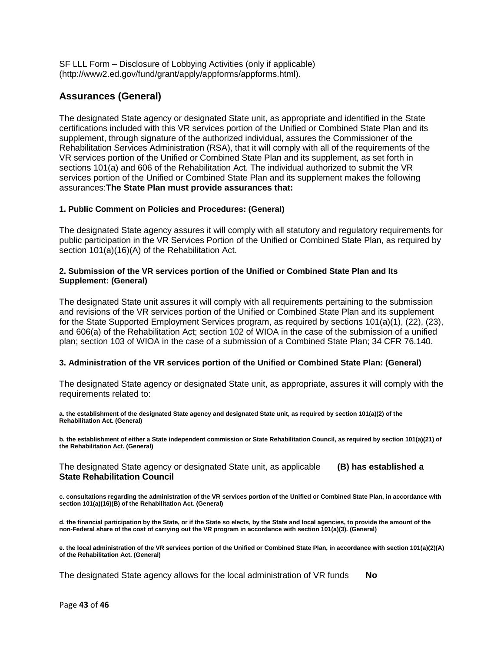SF LLL Form – Disclosure of Lobbying Activities (only if applicable) (http://www2.ed.gov/fund/grant/apply/appforms/appforms.html).

## **Assurances (General)**

The designated State agency or designated State unit, as appropriate and identified in the State certifications included with this VR services portion of the Unified or Combined State Plan and its supplement, through signature of the authorized individual, assures the Commissioner of the Rehabilitation Services Administration (RSA), that it will comply with all of the requirements of the VR services portion of the Unified or Combined State Plan and its supplement, as set forth in sections 101(a) and 606 of the Rehabilitation Act. The individual authorized to submit the VR services portion of the Unified or Combined State Plan and its supplement makes the following assurances:**The State Plan must provide assurances that:**

## **1. Public Comment on Policies and Procedures: (General)**

The designated State agency assures it will comply with all statutory and regulatory requirements for public participation in the VR Services Portion of the Unified or Combined State Plan, as required by section 101(a)(16)(A) of the Rehabilitation Act.

## **2. Submission of the VR services portion of the Unified or Combined State Plan and Its Supplement: (General)**

The designated State unit assures it will comply with all requirements pertaining to the submission and revisions of the VR services portion of the Unified or Combined State Plan and its supplement for the State Supported Employment Services program, as required by sections 101(a)(1), (22), (23), and 606(a) of the Rehabilitation Act; section 102 of WIOA in the case of the submission of a unified plan; section 103 of WIOA in the case of a submission of a Combined State Plan; 34 CFR 76.140.

## **3. Administration of the VR services portion of the Unified or Combined State Plan: (General)**

The designated State agency or designated State unit, as appropriate, assures it will comply with the requirements related to:

**a. the establishment of the designated State agency and designated State unit, as required by section 101(a)(2) of the Rehabilitation Act. (General)**

**b. the establishment of either a State independent commission or State Rehabilitation Council, as required by section 101(a)(21) of the Rehabilitation Act. (General)**

The designated State agency or designated State unit, as applicable **(B) has established a State Rehabilitation Council**

**c. consultations regarding the administration of the VR services portion of the Unified or Combined State Plan, in accordance with section 101(a)(16)(B) of the Rehabilitation Act. (General)**

**d. the financial participation by the State, or if the State so elects, by the State and local agencies, to provide the amount of the non-Federal share of the cost of carrying out the VR program in accordance with section 101(a)(3). (General)**

**e. the local administration of the VR services portion of the Unified or Combined State Plan, in accordance with section 101(a)(2)(A) of the Rehabilitation Act. (General)**

The designated State agency allows for the local administration of VR funds **No**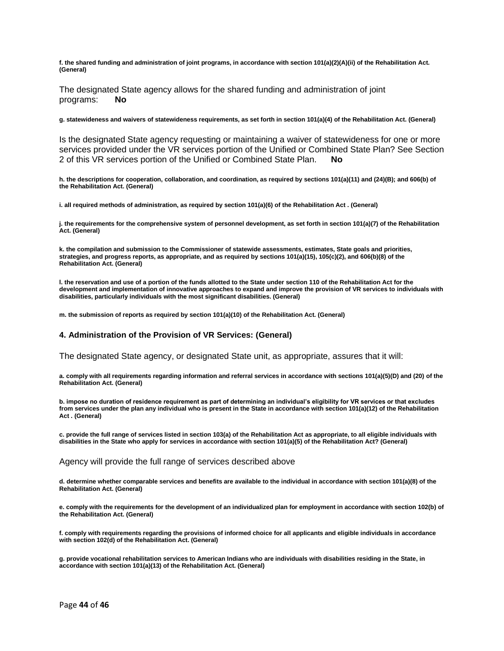**f. the shared funding and administration of joint programs, in accordance with section 101(a)(2)(A)(ii) of the Rehabilitation Act. (General)**

The designated State agency allows for the shared funding and administration of joint programs: **No**

**g. statewideness and waivers of statewideness requirements, as set forth in section 101(a)(4) of the Rehabilitation Act. (General)**

Is the designated State agency requesting or maintaining a waiver of statewideness for one or more services provided under the VR services portion of the Unified or Combined State Plan? See Section 2 of this VR services portion of the Unified or Combined State Plan. **No**

**h. the descriptions for cooperation, collaboration, and coordination, as required by sections 101(a)(11) and (24)(B); and 606(b) of the Rehabilitation Act. (General)**

**i. all required methods of administration, as required by section 101(a)(6) of the Rehabilitation Act . (General)**

**j. the requirements for the comprehensive system of personnel development, as set forth in section 101(a)(7) of the Rehabilitation Act. (General)**

**k. the compilation and submission to the Commissioner of statewide assessments, estimates, State goals and priorities, strategies, and progress reports, as appropriate, and as required by sections 101(a)(15), 105(c)(2), and 606(b)(8) of the Rehabilitation Act. (General)**

**l. the reservation and use of a portion of the funds allotted to the State under section 110 of the Rehabilitation Act for the development and implementation of innovative approaches to expand and improve the provision of VR services to individuals with disabilities, particularly individuals with the most significant disabilities. (General)**

**m. the submission of reports as required by section 101(a)(10) of the Rehabilitation Act. (General)**

#### **4. Administration of the Provision of VR Services: (General)**

The designated State agency, or designated State unit, as appropriate, assures that it will:

**a. comply with all requirements regarding information and referral services in accordance with sections 101(a)(5)(D) and (20) of the Rehabilitation Act. (General)**

**b. impose no duration of residence requirement as part of determining an individual's eligibility for VR services or that excludes from services under the plan any individual who is present in the State in accordance with section 101(a)(12) of the Rehabilitation Act . (General)**

**c. provide the full range of services listed in section 103(a) of the Rehabilitation Act as appropriate, to all eligible individuals with disabilities in the State who apply for services in accordance with section 101(a)(5) of the Rehabilitation Act? (General)**

#### Agency will provide the full range of services described above

**d. determine whether comparable services and benefits are available to the individual in accordance with section 101(a)(8) of the Rehabilitation Act. (General)**

**e. comply with the requirements for the development of an individualized plan for employment in accordance with section 102(b) of the Rehabilitation Act. (General)**

**f. comply with requirements regarding the provisions of informed choice for all applicants and eligible individuals in accordance with section 102(d) of the Rehabilitation Act. (General)**

**g. provide vocational rehabilitation services to American Indians who are individuals with disabilities residing in the State, in accordance with section 101(a)(13) of the Rehabilitation Act. (General)**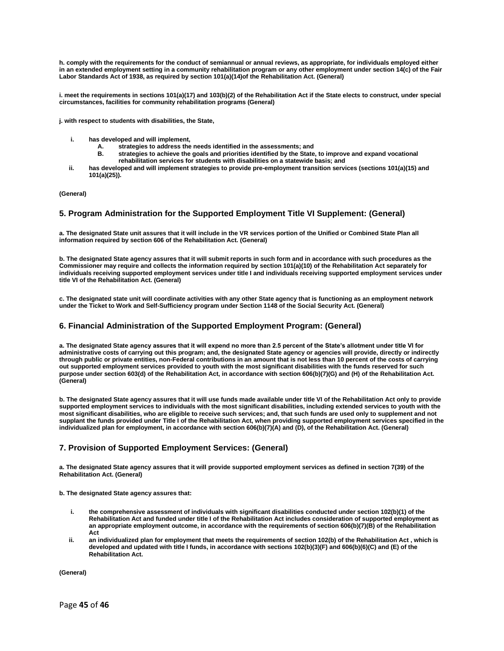**h. comply with the requirements for the conduct of semiannual or annual reviews, as appropriate, for individuals employed either in an extended employment setting in a community rehabilitation program or any other employment under section 14(c) of the Fair Labor Standards Act of 1938, as required by section 101(a)(14)of the Rehabilitation Act. (General)**

**i. meet the requirements in sections 101(a)(17) and 103(b)(2) of the Rehabilitation Act if the State elects to construct, under special circumstances, facilities for community rehabilitation programs (General)**

**j. with respect to students with disabilities, the State,** 

- **i. has developed and will implement,**
	- **A. strategies to address the needs identified in the assessments; and**
	- **B. strategies to achieve the goals and priorities identified by the State, to improve and expand vocational rehabilitation services for students with disabilities on a statewide basis; and**
- **ii. has developed and will implement strategies to provide pre-employment transition services (sections 101(a)(15) and 101(a)(25)).**

#### **(General)**

#### **5. Program Administration for the Supported Employment Title VI Supplement: (General)**

**a. The designated State unit assures that it will include in the VR services portion of the Unified or Combined State Plan all information required by section 606 of the Rehabilitation Act. (General)**

**b. The designated State agency assures that it will submit reports in such form and in accordance with such procedures as the Commissioner may require and collects the information required by section 101(a)(10) of the Rehabilitation Act separately for individuals receiving supported employment services under title I and individuals receiving supported employment services under title VI of the Rehabilitation Act. (General)**

**c. The designated state unit will coordinate activities with any other State agency that is functioning as an employment network under the Ticket to Work and Self-Sufficiency program under Section 1148 of the Social Security Act. (General)**

#### **6. Financial Administration of the Supported Employment Program: (General)**

**a. The designated State agency assures that it will expend no more than 2.5 percent of the State's allotment under title VI for administrative costs of carrying out this program; and, the designated State agency or agencies will provide, directly or indirectly through public or private entities, non-Federal contributions in an amount that is not less than 10 percent of the costs of carrying out supported employment services provided to youth with the most significant disabilities with the funds reserved for such purpose under section 603(d) of the Rehabilitation Act, in accordance with section 606(b)(7)(G) and (H) of the Rehabilitation Act. (General)**

**b. The designated State agency assures that it will use funds made available under title VI of the Rehabilitation Act only to provide supported employment services to individuals with the most significant disabilities, including extended services to youth with the most significant disabilities, who are eligible to receive such services; and, that such funds are used only to supplement and not supplant the funds provided under Title I of the Rehabilitation Act, when providing supported employment services specified in the individualized plan for employment, in accordance with section 606(b)(7)(A) and (D), of the Rehabilitation Act. (General)**

#### **7. Provision of Supported Employment Services: (General)**

**a. The designated State agency assures that it will provide supported employment services as defined in section 7(39) of the Rehabilitation Act. (General)**

**b. The designated State agency assures that:** 

- **i. the comprehensive assessment of individuals with significant disabilities conducted under section 102(b)(1) of the Rehabilitation Act and funded under title I of the Rehabilitation Act includes consideration of supported employment as an appropriate employment outcome, in accordance with the requirements of section 606(b)(7)(B) of the Rehabilitation Act**
- **ii. an individualized plan for employment that meets the requirements of section 102(b) of the Rehabilitation Act , which is developed and updated with title I funds, in accordance with sections 102(b)(3)(F) and 606(b)(6)(C) and (E) of the Rehabilitation Act.**

**(General)**